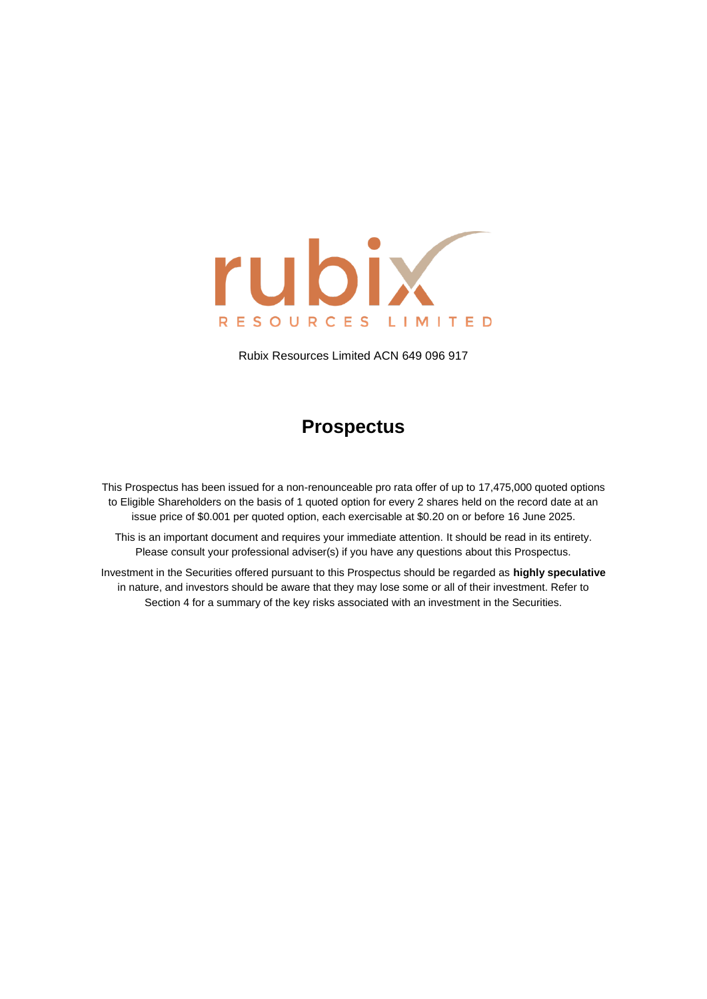

Rubix Resources Limited ACN 649 096 917

# **Prospectus**

This Prospectus has been issued for a non-renounceable pro rata offer of up to 17,475,000 quoted options to Eligible Shareholders on the basis of 1 quoted option for every 2 shares held on the record date at an issue price of \$0.001 per quoted option, each exercisable at \$0.20 on or before 16 June 2025.

This is an important document and requires your immediate attention. It should be read in its entirety. Please consult your professional adviser(s) if you have any questions about this Prospectus.

Investment in the Securities offered pursuant to this Prospectus should be regarded as **highly speculative** in nature, and investors should be aware that they may lose some or all of their investment. Refer to Section [4](#page-20-0) for a summary of the key risks associated with an investment in the Securities.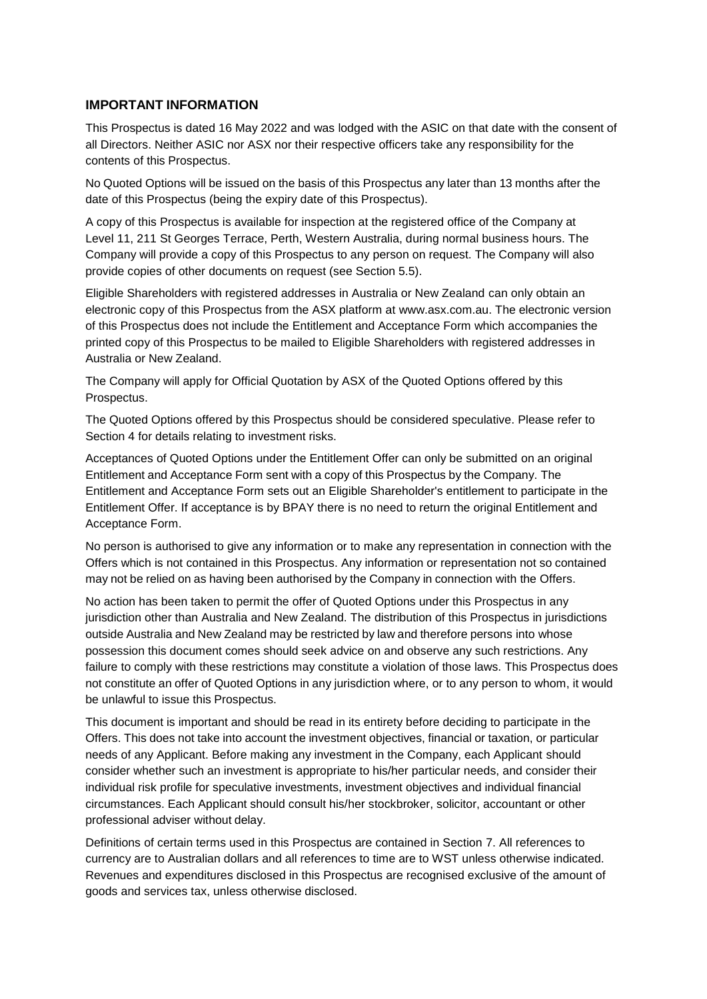### **IMPORTANT INFORMATION**

This Prospectus is dated 16 May 2022 and was lodged with the ASIC on that date with the consent of all Directors. Neither ASIC nor ASX nor their respective officers take any responsibility for the contents of this Prospectus.

No Quoted Options will be issued on the basis of this Prospectus any later than 13 months after the date of this Prospectus (being the expiry date of this Prospectus).

A copy of this Prospectus is available for inspection at the registered office of the Company at Level 11, 211 St Georges Terrace, Perth, Western Australia, during normal business hours. The Company will provide a copy of this Prospectus to any person on request. The Company will also provide copies of other documents on request (see Section [5.5\)](#page-32-0).

Eligible Shareholders with registered addresses in Australia or New Zealand can only obtain an electronic copy of this Prospectus from the ASX platform at [www.asx.com.au. T](http://www.asx.com.au/)he electronic version of this Prospectus does not include the Entitlement and Acceptance Form which accompanies the printed copy of this Prospectus to be mailed to Eligible Shareholders with registered addresses in Australia or New Zealand.

The Company will apply for Official Quotation by ASX of the Quoted Options offered by this Prospectus.

The Quoted Options offered by this Prospectus should be considered speculative. Please refer to Section [4](#page-20-0) for details relating to investment risks.

Acceptances of Quoted Options under the Entitlement Offer can only be submitted on an original Entitlement and Acceptance Form sent with a copy of this Prospectus by the Company. The Entitlement and Acceptance Form sets out an Eligible Shareholder's entitlement to participate in the Entitlement Offer. If acceptance is by BPAY there is no need to return the original Entitlement and Acceptance Form.

No person is authorised to give any information or to make any representation in connection with the Offers which is not contained in this Prospectus. Any information or representation not so contained may not be relied on as having been authorised by the Company in connection with the Offers.

No action has been taken to permit the offer of Quoted Options under this Prospectus in any jurisdiction other than Australia and New Zealand. The distribution of this Prospectus in jurisdictions outside Australia and New Zealand may be restricted by law and therefore persons into whose possession this document comes should seek advice on and observe any such restrictions. Any failure to comply with these restrictions may constitute a violation of those laws. This Prospectus does not constitute an offer of Quoted Options in any jurisdiction where, or to any person to whom, it would be unlawful to issue this Prospectus.

This document is important and should be read in its entirety before deciding to participate in the Offers. This does not take into account the investment objectives, financial or taxation, or particular needs of any Applicant. Before making any investment in the Company, each Applicant should consider whether such an investment is appropriate to his/her particular needs, and consider their individual risk profile for speculative investments, investment objectives and individual financial circumstances. Each Applicant should consult his/her stockbroker, solicitor, accountant or other professional adviser without delay.

Definitions of certain terms used in this Prospectus are contained in Section [7.](#page-37-0) All references to currency are to Australian dollars and all references to time are to WST unless otherwise indicated. Revenues and expenditures disclosed in this Prospectus are recognised exclusive of the amount of goods and services tax, unless otherwise disclosed.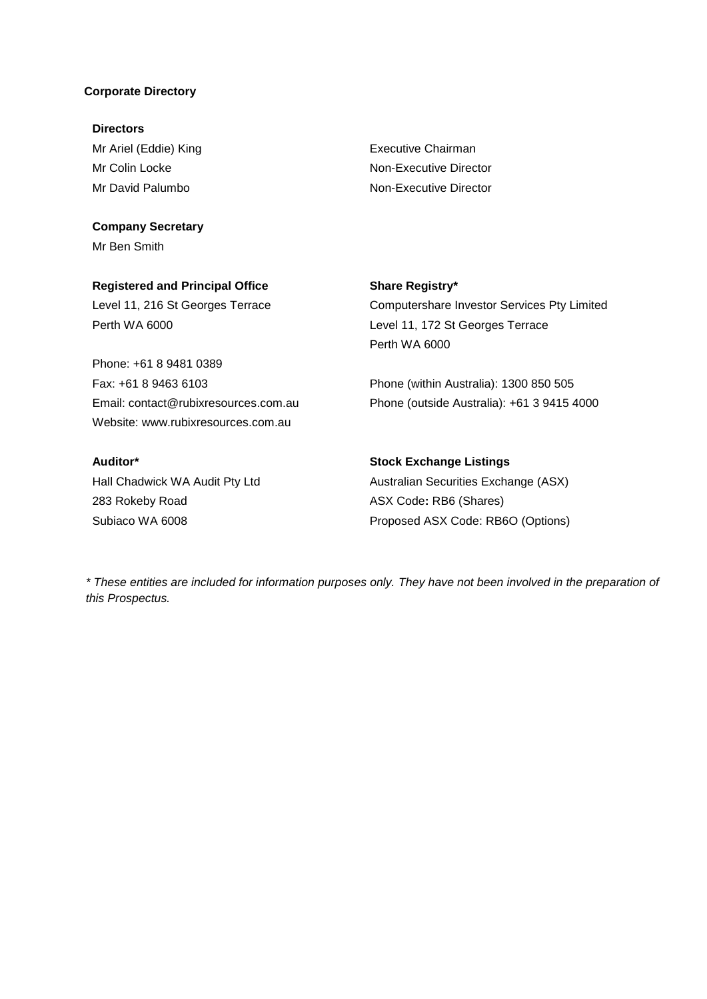#### **Corporate Directory**

**Directors** Mr Ariel (Eddie) King Mr Colin Locke Mr David Palumbo

**Company Secretary** Mr Ben Smith

Executive Chairman Non-Executive Director Non-Executive Director

**Registered and Principal Office** Level 11, 216 St Georges Terrace Perth WA 6000

Phone: +61 8 9481 0389 Fax: +61 8 9463 6103 Email: contact@rubixresources.com.au Website: www.rubixresources.com.au

**Auditor\***

Hall Chadwick WA Audit Pty Ltd 283 Rokeby Road Subiaco WA 6008

#### **Share Registry\***

Computershare Investor Services Pty Limited Level 11, 172 St Georges Terrace Perth WA 6000

Phone (within Australia): 1300 850 505 Phone (outside Australia): +61 3 9415 4000

# **Stock Exchange Listings**

Australian Securities Exchange (ASX) ASX Code**:** RB6 (Shares) Proposed ASX Code: RB6O (Options)

*\* These entities are included for information purposes only. They have not been involved in the preparation of this Prospectus.*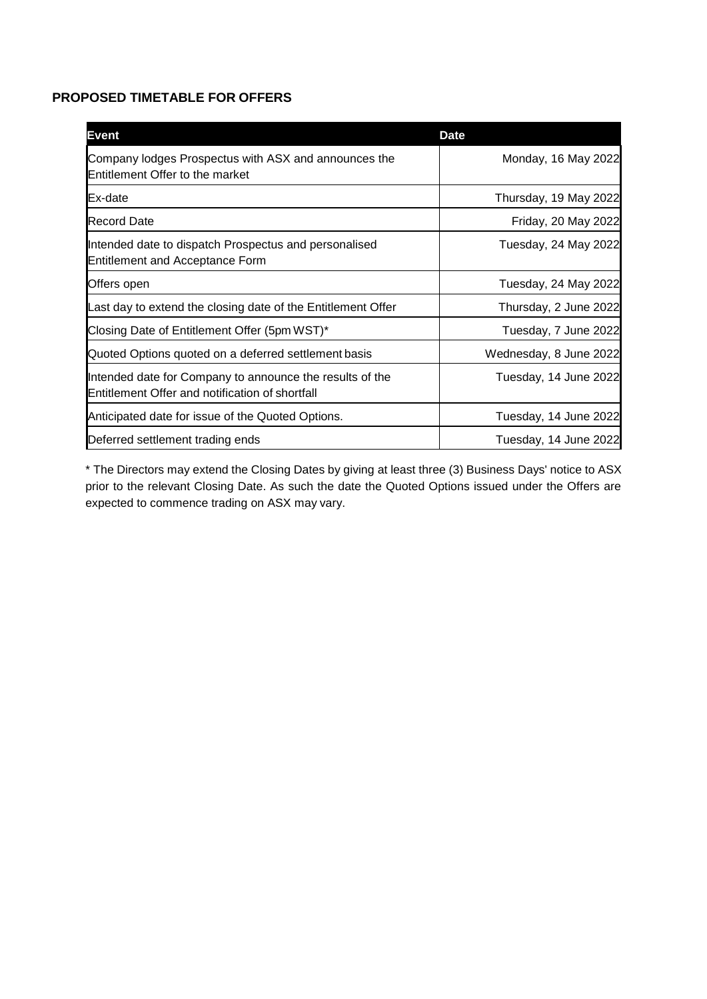# **PROPOSED TIMETABLE FOR OFFERS**

| <b>Event</b>                                                                                                | <b>Date</b>            |
|-------------------------------------------------------------------------------------------------------------|------------------------|
| Company lodges Prospectus with ASX and announces the<br><b>Entitlement Offer to the market</b>              | Monday, 16 May 2022    |
| <b>IEx-date</b>                                                                                             | Thursday, 19 May 2022  |
| <b>Record Date</b>                                                                                          | Friday, 20 May 2022    |
| Intended date to dispatch Prospectus and personalised<br><b>Entitlement and Acceptance Form</b>             | Tuesday, 24 May 2022   |
| Offers open                                                                                                 | Tuesday, 24 May 2022   |
| Last day to extend the closing date of the Entitlement Offer                                                | Thursday, 2 June 2022  |
| Closing Date of Entitlement Offer (5pm WST)*                                                                | Tuesday, 7 June 2022   |
| Quoted Options quoted on a deferred settlement basis                                                        | Wednesday, 8 June 2022 |
| Intended date for Company to announce the results of the<br>Entitlement Offer and notification of shortfall | Tuesday, 14 June 2022  |
| Anticipated date for issue of the Quoted Options.                                                           | Tuesday, 14 June 2022  |
| Deferred settlement trading ends                                                                            | Tuesday, 14 June 2022  |

\* The Directors may extend the Closing Dates by giving at least three (3) Business Days' notice to ASX prior to the relevant Closing Date. As such the date the Quoted Options issued under the Offers are expected to commence trading on ASX may vary.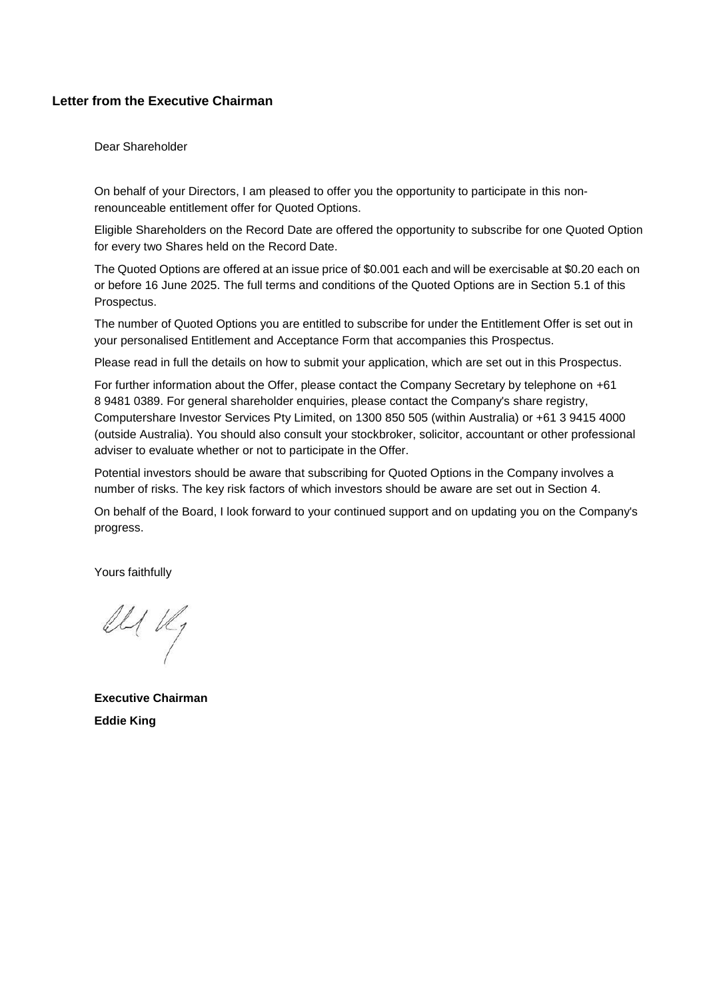# **Letter from the Executive Chairman**

Dear Shareholder

On behalf of your Directors, I am pleased to offer you the opportunity to participate in this nonrenounceable entitlement offer for Quoted Options.

Eligible Shareholders on the Record Date are offered the opportunity to subscribe for one Quoted Option for every two Shares held on the Record Date.

The Quoted Options are offered at an issue price of \$0.001 each and will be exercisable at \$0.20 each on or before 16 June 2025. The full terms and conditions of the Quoted Options are in Section [5.1](#page-30-0) [o](#page-30-0)f this Prospectus.

The number of Quoted Options you are entitled to subscribe for under the Entitlement Offer is set out in your personalised Entitlement and Acceptance Form that accompanies this Prospectus.

Please read in full the details on how to submit your application, which are set out in this Prospectus.

For further information about the Offer, please contact the Company Secretary by telephone on +61 8 9481 0389. For general shareholder enquiries, please contact the Company's share registry, Computershare Investor Services Pty Limited, on 1300 850 505 (within Australia) or +61 3 9415 4000 (outside Australia). You should also consult your stockbroker, solicitor, accountant or other professional adviser to evaluate whether or not to participate in the Offer.

Potential investors should be aware that subscribing for Quoted Options in the Company involves a number of risks. The key risk factors of which investors should be aware are set out in Section [4.](#page-20-0)

On behalf of the Board, I look forward to your continued support and on updating you on the Company's progress.

Yours faithfully

Il Vly

**Executive Chairman Eddie King**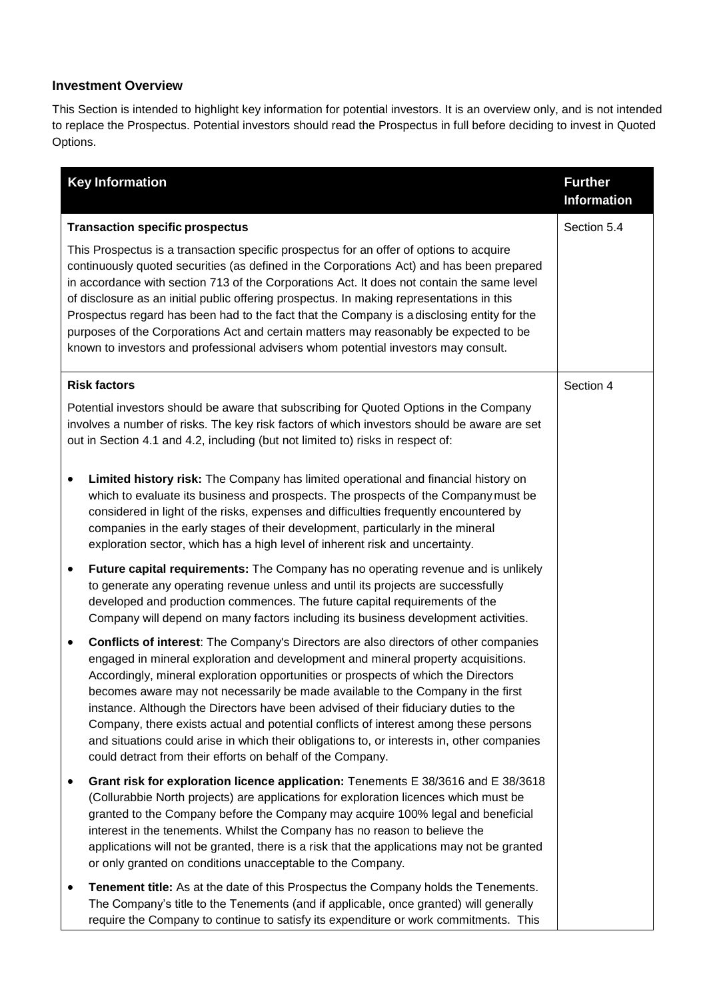# **Investment Overview**

This Section is intended to highlight key information for potential investors. It is an overview only, and is not intended to replace the Prospectus. Potential investors should read the Prospectus in full before deciding to invest in Quoted Options.

|           | <b>Key Information</b>                                                                                                                                                                                                                                                                                                                                                                                                                                                                                                                                                                                                                                                                                 | <b>Further</b><br><b>Information</b> |
|-----------|--------------------------------------------------------------------------------------------------------------------------------------------------------------------------------------------------------------------------------------------------------------------------------------------------------------------------------------------------------------------------------------------------------------------------------------------------------------------------------------------------------------------------------------------------------------------------------------------------------------------------------------------------------------------------------------------------------|--------------------------------------|
|           | <b>Transaction specific prospectus</b><br>This Prospectus is a transaction specific prospectus for an offer of options to acquire<br>continuously quoted securities (as defined in the Corporations Act) and has been prepared<br>in accordance with section 713 of the Corporations Act. It does not contain the same level<br>of disclosure as an initial public offering prospectus. In making representations in this<br>Prospectus regard has been had to the fact that the Company is a disclosing entity for the<br>purposes of the Corporations Act and certain matters may reasonably be expected to be<br>known to investors and professional advisers whom potential investors may consult. | Section 5.4                          |
|           | <b>Risk factors</b><br>Potential investors should be aware that subscribing for Quoted Options in the Company<br>involves a number of risks. The key risk factors of which investors should be aware are set<br>out in Section 4.1 and 4.2, including (but not limited to) risks in respect of:                                                                                                                                                                                                                                                                                                                                                                                                        | Section 4                            |
| ٠         | Limited history risk: The Company has limited operational and financial history on<br>which to evaluate its business and prospects. The prospects of the Company must be<br>considered in light of the risks, expenses and difficulties frequently encountered by<br>companies in the early stages of their development, particularly in the mineral<br>exploration sector, which has a high level of inherent risk and uncertainty.                                                                                                                                                                                                                                                                   |                                      |
| ٠         | Future capital requirements: The Company has no operating revenue and is unlikely<br>to generate any operating revenue unless and until its projects are successfully<br>developed and production commences. The future capital requirements of the<br>Company will depend on many factors including its business development activities.                                                                                                                                                                                                                                                                                                                                                              |                                      |
| $\bullet$ | <b>Conflicts of interest:</b> The Company's Directors are also directors of other companies<br>engaged in mineral exploration and development and mineral property acquisitions.<br>Accordingly, mineral exploration opportunities or prospects of which the Directors<br>becomes aware may not necessarily be made available to the Company in the first<br>instance. Although the Directors have been advised of their fiduciary duties to the<br>Company, there exists actual and potential conflicts of interest among these persons<br>and situations could arise in which their obligations to, or interests in, other companies<br>could detract from their efforts on behalf of the Company.   |                                      |
|           | Grant risk for exploration licence application: Tenements E 38/3616 and E 38/3618<br>(Collurabbie North projects) are applications for exploration licences which must be<br>granted to the Company before the Company may acquire 100% legal and beneficial<br>interest in the tenements. Whilst the Company has no reason to believe the<br>applications will not be granted, there is a risk that the applications may not be granted<br>or only granted on conditions unacceptable to the Company.                                                                                                                                                                                                 |                                      |
| ٠         | Tenement title: As at the date of this Prospectus the Company holds the Tenements.<br>The Company's title to the Tenements (and if applicable, once granted) will generally<br>require the Company to continue to satisfy its expenditure or work commitments. This                                                                                                                                                                                                                                                                                                                                                                                                                                    |                                      |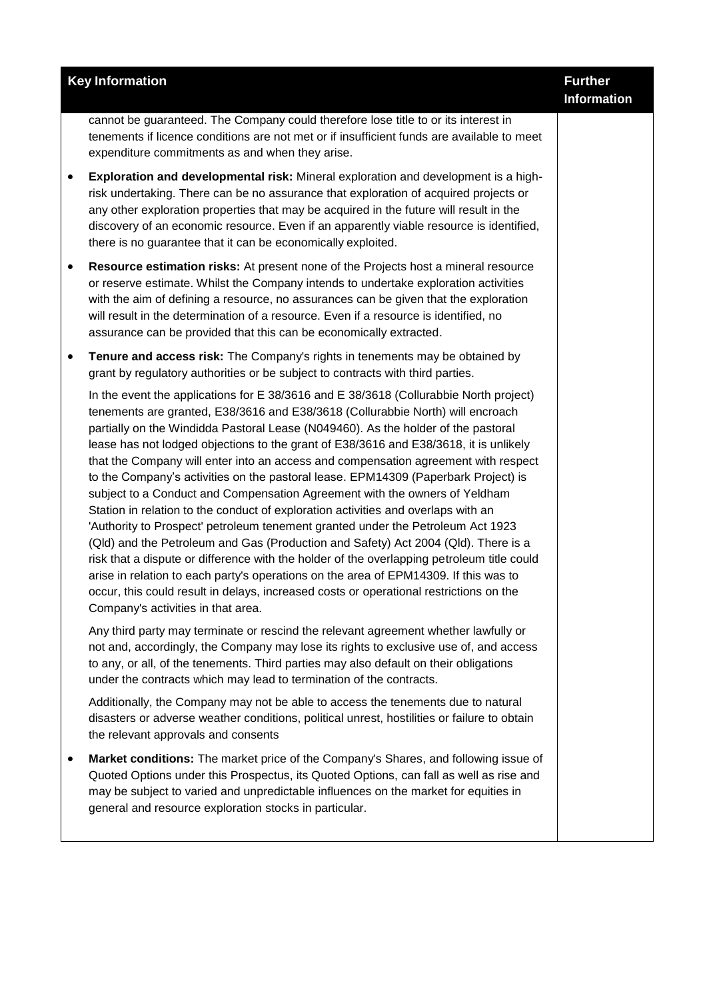|           | <b>Key Information</b>                                                                                                                                                                                                                                                                                                                                                                                                                                                                                                                                                                                                                                                                                                                                                                                                                                                                                                                                                                                                                                                                                                                                                                              | <b>Further</b><br><b>Information</b> |
|-----------|-----------------------------------------------------------------------------------------------------------------------------------------------------------------------------------------------------------------------------------------------------------------------------------------------------------------------------------------------------------------------------------------------------------------------------------------------------------------------------------------------------------------------------------------------------------------------------------------------------------------------------------------------------------------------------------------------------------------------------------------------------------------------------------------------------------------------------------------------------------------------------------------------------------------------------------------------------------------------------------------------------------------------------------------------------------------------------------------------------------------------------------------------------------------------------------------------------|--------------------------------------|
|           | cannot be guaranteed. The Company could therefore lose title to or its interest in<br>tenements if licence conditions are not met or if insufficient funds are available to meet<br>expenditure commitments as and when they arise.                                                                                                                                                                                                                                                                                                                                                                                                                                                                                                                                                                                                                                                                                                                                                                                                                                                                                                                                                                 |                                      |
| ٠         | Exploration and developmental risk: Mineral exploration and development is a high-<br>risk undertaking. There can be no assurance that exploration of acquired projects or<br>any other exploration properties that may be acquired in the future will result in the<br>discovery of an economic resource. Even if an apparently viable resource is identified,<br>there is no guarantee that it can be economically exploited.                                                                                                                                                                                                                                                                                                                                                                                                                                                                                                                                                                                                                                                                                                                                                                     |                                      |
| $\bullet$ | Resource estimation risks: At present none of the Projects host a mineral resource<br>or reserve estimate. Whilst the Company intends to undertake exploration activities<br>with the aim of defining a resource, no assurances can be given that the exploration<br>will result in the determination of a resource. Even if a resource is identified, no<br>assurance can be provided that this can be economically extracted.                                                                                                                                                                                                                                                                                                                                                                                                                                                                                                                                                                                                                                                                                                                                                                     |                                      |
| ٠         | Tenure and access risk: The Company's rights in tenements may be obtained by<br>grant by regulatory authorities or be subject to contracts with third parties.                                                                                                                                                                                                                                                                                                                                                                                                                                                                                                                                                                                                                                                                                                                                                                                                                                                                                                                                                                                                                                      |                                      |
|           | In the event the applications for E 38/3616 and E 38/3618 (Collurabbie North project)<br>tenements are granted, E38/3616 and E38/3618 (Collurabbie North) will encroach<br>partially on the Windidda Pastoral Lease (N049460). As the holder of the pastoral<br>lease has not lodged objections to the grant of E38/3616 and E38/3618, it is unlikely<br>that the Company will enter into an access and compensation agreement with respect<br>to the Company's activities on the pastoral lease. EPM14309 (Paperbark Project) is<br>subject to a Conduct and Compensation Agreement with the owners of Yeldham<br>Station in relation to the conduct of exploration activities and overlaps with an<br>'Authority to Prospect' petroleum tenement granted under the Petroleum Act 1923<br>(Qld) and the Petroleum and Gas (Production and Safety) Act 2004 (Qld). There is a<br>risk that a dispute or difference with the holder of the overlapping petroleum title could<br>arise in relation to each party's operations on the area of EPM14309. If this was to<br>occur, this could result in delays, increased costs or operational restrictions on the<br>Company's activities in that area. |                                      |
|           | Any third party may terminate or rescind the relevant agreement whether lawfully or<br>not and, accordingly, the Company may lose its rights to exclusive use of, and access<br>to any, or all, of the tenements. Third parties may also default on their obligations<br>under the contracts which may lead to termination of the contracts.                                                                                                                                                                                                                                                                                                                                                                                                                                                                                                                                                                                                                                                                                                                                                                                                                                                        |                                      |
|           | Additionally, the Company may not be able to access the tenements due to natural<br>disasters or adverse weather conditions, political unrest, hostilities or failure to obtain<br>the relevant approvals and consents                                                                                                                                                                                                                                                                                                                                                                                                                                                                                                                                                                                                                                                                                                                                                                                                                                                                                                                                                                              |                                      |
| ٠         | Market conditions: The market price of the Company's Shares, and following issue of<br>Quoted Options under this Prospectus, its Quoted Options, can fall as well as rise and<br>may be subject to varied and unpredictable influences on the market for equities in<br>general and resource exploration stocks in particular.                                                                                                                                                                                                                                                                                                                                                                                                                                                                                                                                                                                                                                                                                                                                                                                                                                                                      |                                      |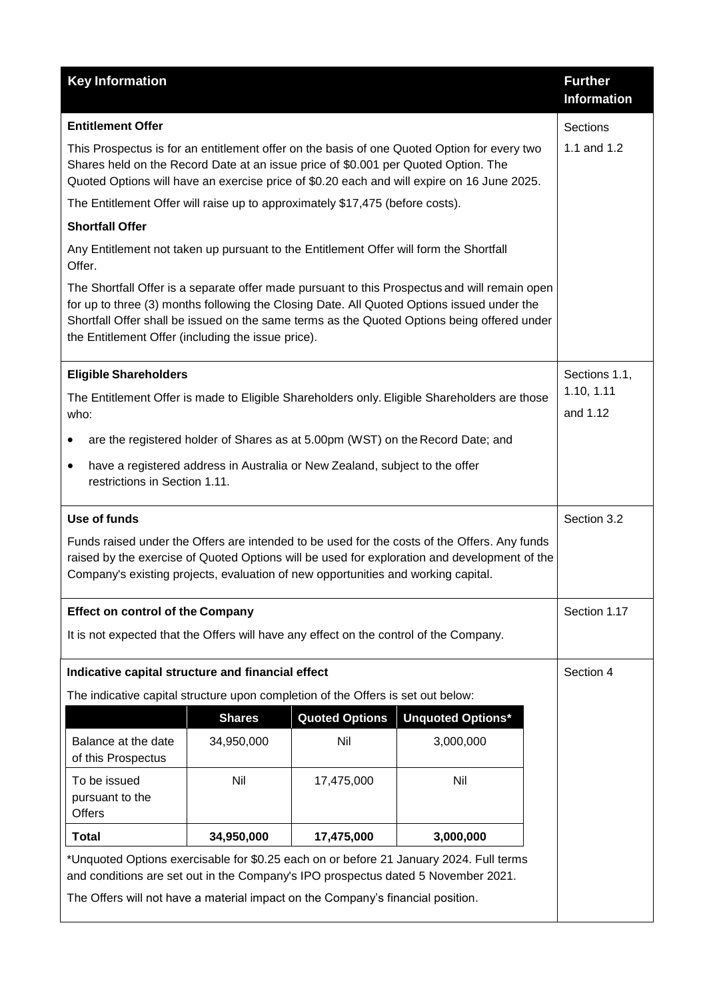| <b>Key Information</b>                                                                                                                                                                                                                                                            |               |                       |                                                                                                                                                                                                                                                                                            | <b>Further</b><br><b>Information</b> |
|-----------------------------------------------------------------------------------------------------------------------------------------------------------------------------------------------------------------------------------------------------------------------------------|---------------|-----------------------|--------------------------------------------------------------------------------------------------------------------------------------------------------------------------------------------------------------------------------------------------------------------------------------------|--------------------------------------|
| <b>Entitlement Offer</b>                                                                                                                                                                                                                                                          |               |                       |                                                                                                                                                                                                                                                                                            | Sections                             |
| Shares held on the Record Date at an issue price of \$0.001 per Quoted Option. The                                                                                                                                                                                                |               |                       | This Prospectus is for an entitlement offer on the basis of one Quoted Option for every two<br>Quoted Options will have an exercise price of \$0.20 each and will expire on 16 June 2025.                                                                                                  | 1.1 and 1.2                          |
| The Entitlement Offer will raise up to approximately \$17,475 (before costs).                                                                                                                                                                                                     |               |                       |                                                                                                                                                                                                                                                                                            |                                      |
| <b>Shortfall Offer</b>                                                                                                                                                                                                                                                            |               |                       |                                                                                                                                                                                                                                                                                            |                                      |
| Any Entitlement not taken up pursuant to the Entitlement Offer will form the Shortfall<br>Offer.                                                                                                                                                                                  |               |                       |                                                                                                                                                                                                                                                                                            |                                      |
| the Entitlement Offer (including the issue price).                                                                                                                                                                                                                                |               |                       | The Shortfall Offer is a separate offer made pursuant to this Prospectus and will remain open<br>for up to three (3) months following the Closing Date. All Quoted Options issued under the<br>Shortfall Offer shall be issued on the same terms as the Quoted Options being offered under |                                      |
| <b>Eligible Shareholders</b>                                                                                                                                                                                                                                                      |               |                       |                                                                                                                                                                                                                                                                                            | Sections 1.1,                        |
| who:                                                                                                                                                                                                                                                                              |               |                       | The Entitlement Offer is made to Eligible Shareholders only. Eligible Shareholders are those                                                                                                                                                                                               | 1.10, 1.11<br>and 1.12               |
|                                                                                                                                                                                                                                                                                   |               |                       | are the registered holder of Shares as at 5.00pm (WST) on the Record Date; and                                                                                                                                                                                                             |                                      |
| have a registered address in Australia or New Zealand, subject to the offer<br>restrictions in Section 1.11.                                                                                                                                                                      |               |                       |                                                                                                                                                                                                                                                                                            |                                      |
| Use of funds                                                                                                                                                                                                                                                                      |               |                       |                                                                                                                                                                                                                                                                                            | Section 3.2                          |
| Funds raised under the Offers are intended to be used for the costs of the Offers. Any funds<br>raised by the exercise of Quoted Options will be used for exploration and development of the<br>Company's existing projects, evaluation of new opportunities and working capital. |               |                       |                                                                                                                                                                                                                                                                                            |                                      |
| <b>Effect on control of the Company</b>                                                                                                                                                                                                                                           |               |                       |                                                                                                                                                                                                                                                                                            | Section 1.17                         |
| It is not expected that the Offers will have any effect on the control of the Company.                                                                                                                                                                                            |               |                       |                                                                                                                                                                                                                                                                                            |                                      |
| Indicative capital structure and financial effect                                                                                                                                                                                                                                 |               |                       |                                                                                                                                                                                                                                                                                            | Section 4                            |
| The indicative capital structure upon completion of the Offers is set out below:                                                                                                                                                                                                  |               |                       |                                                                                                                                                                                                                                                                                            |                                      |
|                                                                                                                                                                                                                                                                                   | <b>Shares</b> | <b>Quoted Options</b> | <b>Unquoted Options*</b>                                                                                                                                                                                                                                                                   |                                      |
| Balance at the date<br>of this Prospectus                                                                                                                                                                                                                                         | 34,950,000    | Nil                   | 3,000,000                                                                                                                                                                                                                                                                                  |                                      |
| To be issued<br>pursuant to the<br>Offers                                                                                                                                                                                                                                         | Nil           | 17,475,000            | Nil                                                                                                                                                                                                                                                                                        |                                      |
| <b>Total</b>                                                                                                                                                                                                                                                                      | 34,950,000    | 17,475,000            | 3,000,000                                                                                                                                                                                                                                                                                  |                                      |
| *Unquoted Options exercisable for \$0.25 each on or before 21 January 2024. Full terms<br>and conditions are set out in the Company's IPO prospectus dated 5 November 2021.<br>The Offers will not have a material impact on the Company's financial position.                    |               |                       |                                                                                                                                                                                                                                                                                            |                                      |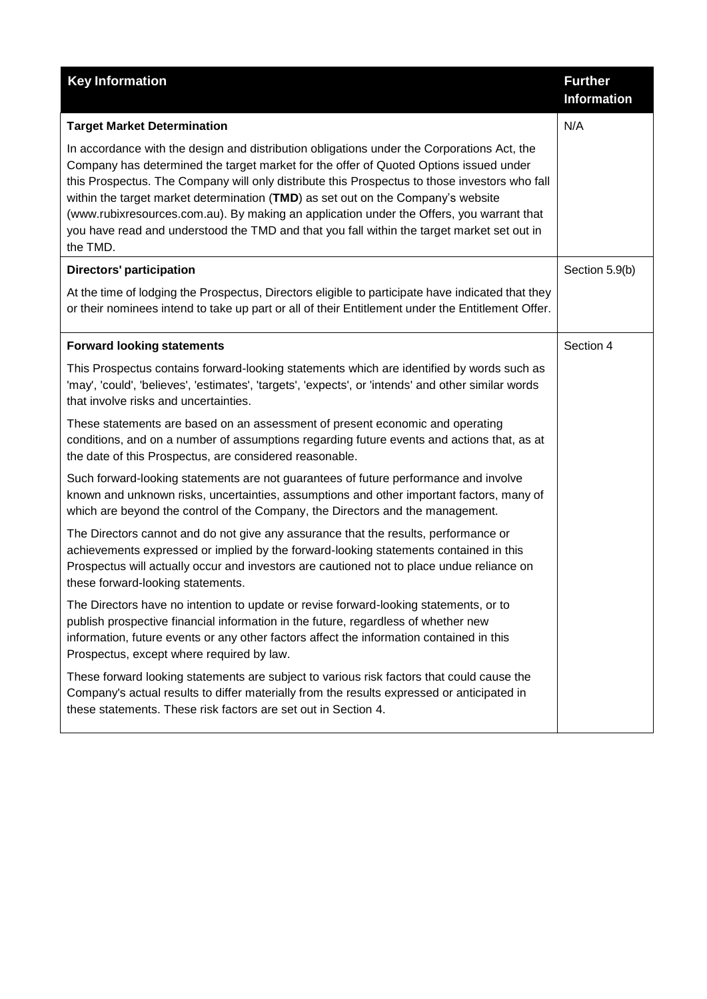| <b>Key Information</b>                                                                                                                                                                                                                                                                                                                                                                                                                                                                                                                                                         | <b>Further</b><br><b>Information</b> |
|--------------------------------------------------------------------------------------------------------------------------------------------------------------------------------------------------------------------------------------------------------------------------------------------------------------------------------------------------------------------------------------------------------------------------------------------------------------------------------------------------------------------------------------------------------------------------------|--------------------------------------|
| <b>Target Market Determination</b>                                                                                                                                                                                                                                                                                                                                                                                                                                                                                                                                             | N/A                                  |
| In accordance with the design and distribution obligations under the Corporations Act, the<br>Company has determined the target market for the offer of Quoted Options issued under<br>this Prospectus. The Company will only distribute this Prospectus to those investors who fall<br>within the target market determination (TMD) as set out on the Company's website<br>(www.rubixresources.com.au). By making an application under the Offers, you warrant that<br>you have read and understood the TMD and that you fall within the target market set out in<br>the TMD. |                                      |
| <b>Directors' participation</b>                                                                                                                                                                                                                                                                                                                                                                                                                                                                                                                                                | Section 5.9(b)                       |
| At the time of lodging the Prospectus, Directors eligible to participate have indicated that they<br>or their nominees intend to take up part or all of their Entitlement under the Entitlement Offer.                                                                                                                                                                                                                                                                                                                                                                         |                                      |
| <b>Forward looking statements</b>                                                                                                                                                                                                                                                                                                                                                                                                                                                                                                                                              | Section 4                            |
| This Prospectus contains forward-looking statements which are identified by words such as<br>'may', 'could', 'believes', 'estimates', 'targets', 'expects', or 'intends' and other similar words<br>that involve risks and uncertainties.                                                                                                                                                                                                                                                                                                                                      |                                      |
| These statements are based on an assessment of present economic and operating<br>conditions, and on a number of assumptions regarding future events and actions that, as at<br>the date of this Prospectus, are considered reasonable.                                                                                                                                                                                                                                                                                                                                         |                                      |
| Such forward-looking statements are not guarantees of future performance and involve<br>known and unknown risks, uncertainties, assumptions and other important factors, many of<br>which are beyond the control of the Company, the Directors and the management.                                                                                                                                                                                                                                                                                                             |                                      |
| The Directors cannot and do not give any assurance that the results, performance or<br>achievements expressed or implied by the forward-looking statements contained in this<br>Prospectus will actually occur and investors are cautioned not to place undue reliance on<br>these forward-looking statements.                                                                                                                                                                                                                                                                 |                                      |
| The Directors have no intention to update or revise forward-looking statements, or to<br>publish prospective financial information in the future, regardless of whether new<br>information, future events or any other factors affect the information contained in this<br>Prospectus, except where required by law.                                                                                                                                                                                                                                                           |                                      |
| These forward looking statements are subject to various risk factors that could cause the<br>Company's actual results to differ materially from the results expressed or anticipated in<br>these statements. These risk factors are set out in Section 4.                                                                                                                                                                                                                                                                                                                      |                                      |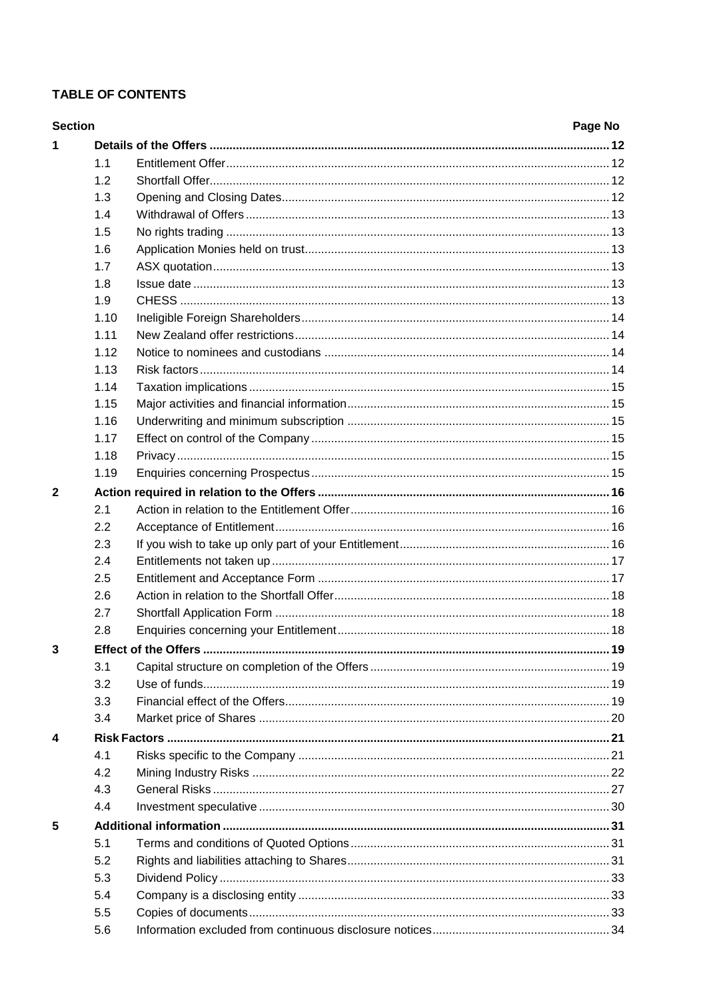# **TABLE OF CONTENTS**

| <b>Section</b> |      | Page No |
|----------------|------|---------|
| 1              |      |         |
|                | 1.1  |         |
|                | 1.2  |         |
|                | 1.3  |         |
|                | 1.4  |         |
|                | 1.5  |         |
|                | 1.6  |         |
|                | 1.7  |         |
|                | 1.8  |         |
|                | 1.9  |         |
|                | 1.10 |         |
|                | 1.11 |         |
|                | 1.12 |         |
|                | 1.13 |         |
|                | 1.14 |         |
|                | 1.15 |         |
|                | 1.16 |         |
|                | 1.17 |         |
|                | 1.18 |         |
|                | 1.19 |         |
| $\overline{2}$ |      |         |
|                | 2.1  |         |
|                | 2.2  |         |
|                | 2.3  |         |
|                | 2.4  |         |
|                | 2.5  |         |
|                | 2.6  |         |
|                | 2.7  |         |
|                | 2.8  |         |
| 3              |      |         |
|                | 3.1  |         |
|                | 3.2  |         |
|                | 3.3  |         |
|                | 3.4  |         |
| 4              |      |         |
|                | 4.1  |         |
|                | 4.2  |         |
|                | 4.3  |         |
|                | 4.4  |         |
|                |      |         |
| 5              |      |         |
|                | 5.1  |         |
|                | 5.2  |         |
|                | 5.3  |         |
|                | 5.4  |         |
|                | 5.5  |         |
|                | 5.6  |         |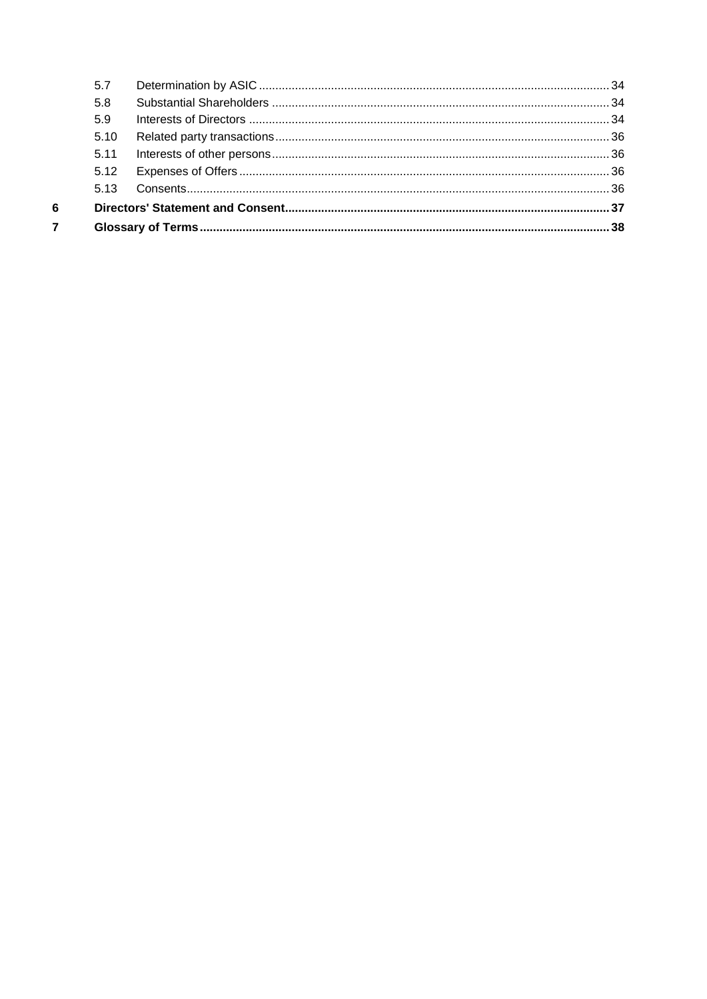| 5.7  |  |  |
|------|--|--|
| 5.8  |  |  |
| 5.9  |  |  |
| 5.10 |  |  |
| 5.11 |  |  |
| 5.12 |  |  |
| 513  |  |  |
|      |  |  |
|      |  |  |
|      |  |  |

 $\begin{array}{c} 6 \\ 7 \end{array}$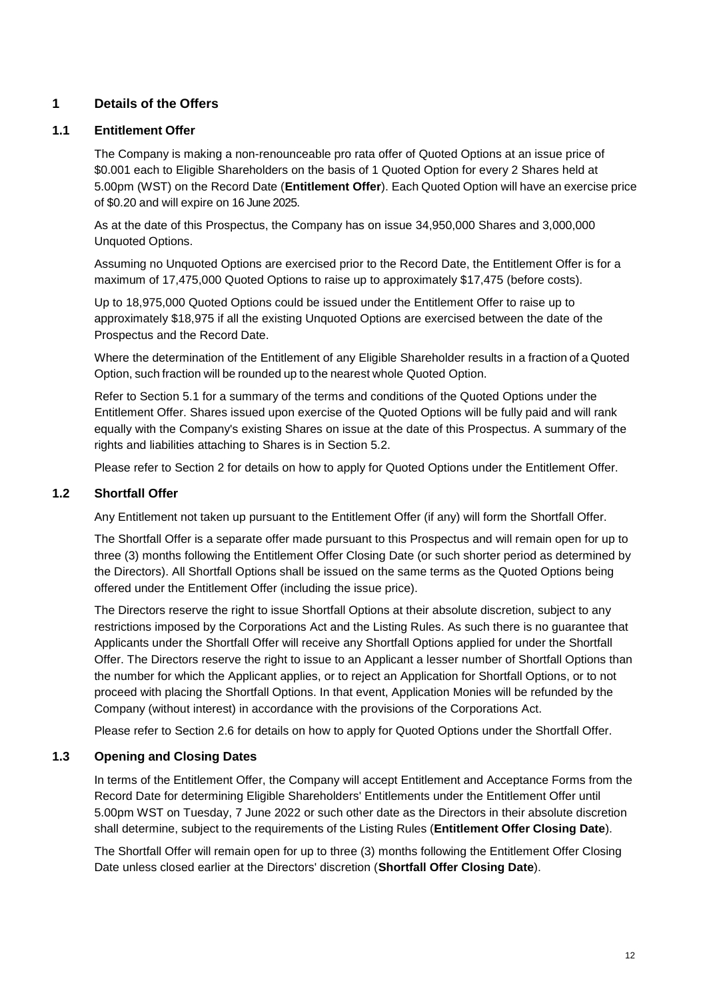# <span id="page-11-2"></span>**1 Details of the Offers**

### <span id="page-11-0"></span>**1.1 Entitlement Offer**

The Company is making a non-renounceable pro rata offer of Quoted Options at an issue price of \$0.001 each to Eligible Shareholders on the basis of 1 Quoted Option for every 2 Shares held at 5.00pm (WST) on the Record Date (**Entitlement Offer**). Each Quoted Option will have an exercise price of \$0.20 and will expire on 16 June 2025.

As at the date of this Prospectus, the Company has on issue 34,950,000 Shares and 3,000,000 Unquoted Options.

Assuming no Unquoted Options are exercised prior to the Record Date, the Entitlement Offer is for a maximum of 17,475,000 Quoted Options to raise up to approximately \$17,475 (before costs).

Up to 18,975,000 Quoted Options could be issued under the Entitlement Offer to raise up to approximately \$18,975 if all the existing Unquoted Options are exercised between the date of the Prospectus and the Record Date.

Where the determination of the Entitlement of any Eligible Shareholder results in a fraction of a Quoted Option, such fraction will be rounded up to the nearest whole Quoted Option.

Refer to Section [5.1](#page-30-0) for a summary of the terms and conditions of the Quoted Options under the Entitlement Offer. Shares issued upon exercise of the Quoted Options will be fully paid and will rank equally with the Company's existing Shares on issue at the date of this Prospectus. A summary of the rights and liabilities attaching to Shares is in Section 5.2.

Please refer to Section [2](#page-15-0) for details on how to apply for Quoted Options under the Entitlement Offer.

### <span id="page-11-1"></span>**1.2 Shortfall Offer**

Any Entitlement not taken up pursuant to the Entitlement Offer (if any) will form the Shortfall Offer.

The Shortfall Offer is a separate offer made pursuant to this Prospectus and will remain open for up to three (3) months following the Entitlement Offer Closing Date (or such shorter period as determined by the Directors). All Shortfall Options shall be issued on the same terms as the Quoted Options being offered under the Entitlement Offer (including the issue price).

The Directors reserve the right to issue Shortfall Options at their absolute discretion, subject to any restrictions imposed by the Corporations Act and the Listing Rules. As such there is no guarantee that Applicants under the Shortfall Offer will receive any Shortfall Options applied for under the Shortfall Offer. The Directors reserve the right to issue to an Applicant a lesser number of Shortfall Options than the number for which the Applicant applies, or to reject an Application for Shortfall Options, or to not proceed with placing the Shortfall Options. In that event, Application Monies will be refunded by the Company (without interest) in accordance with the provisions of the Corporations Act.

Please refer to Section [2.6](#page-17-0) for details on how to apply for Quoted Options under the Shortfall Offer.

### <span id="page-11-3"></span>**1.3 Opening and Closing Dates**

In terms of the Entitlement Offer, the Company will accept Entitlement and Acceptance Forms from the Record Date for determining Eligible Shareholders' Entitlements under the Entitlement Offer until 5.00pm WST on Tuesday, 7 June 2022 or such other date as the Directors in their absolute discretion shall determine, subject to the requirements of the Listing Rules (**Entitlement Offer Closing Date**).

The Shortfall Offer will remain open for up to three (3) months following the Entitlement Offer Closing Date unless closed earlier at the Directors' discretion (**Shortfall Offer Closing Date**).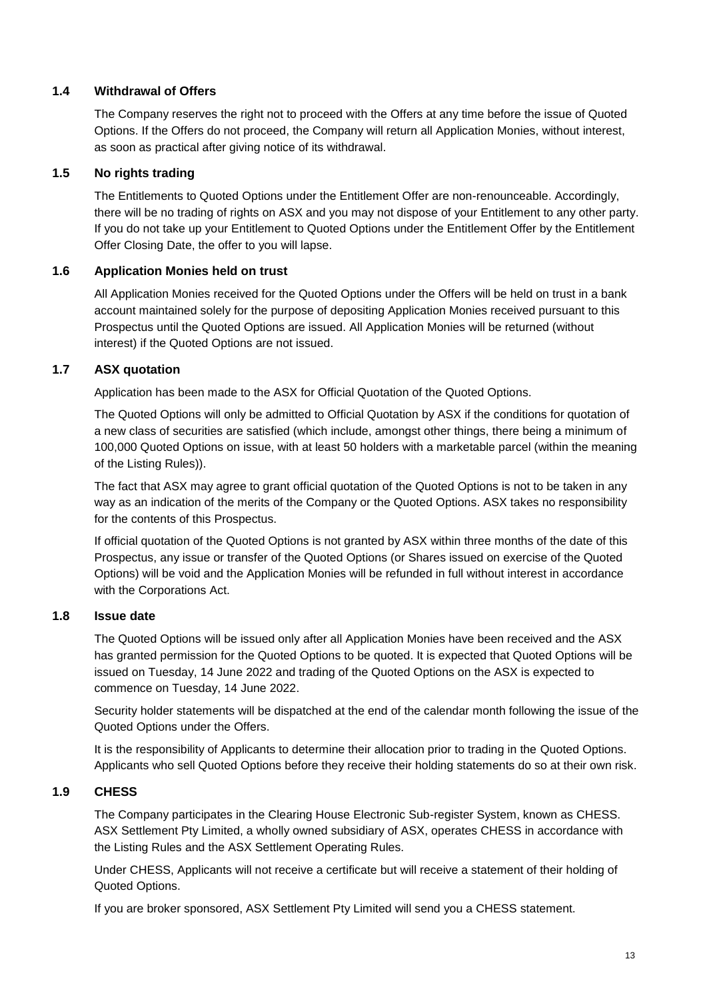## <span id="page-12-0"></span>**1.4 Withdrawal of Offers**

The Company reserves the right not to proceed with the Offers at any time before the issue of Quoted Options. If the Offers do not proceed, the Company will return all Application Monies, without interest, as soon as practical after giving notice of its withdrawal.

# <span id="page-12-1"></span>**1.5 No rights trading**

The Entitlements to Quoted Options under the Entitlement Offer are non-renounceable. Accordingly, there will be no trading of rights on ASX and you may not dispose of your Entitlement to any other party. If you do not take up your Entitlement to Quoted Options under the Entitlement Offer by the Entitlement Offer Closing Date, the offer to you will lapse.

## <span id="page-12-2"></span>**1.6 Application Monies held on trust**

All Application Monies received for the Quoted Options under the Offers will be held on trust in a bank account maintained solely for the purpose of depositing Application Monies received pursuant to this Prospectus until the Quoted Options are issued. All Application Monies will be returned (without interest) if the Quoted Options are not issued.

# <span id="page-12-3"></span>**1.7 ASX quotation**

Application has been made to the ASX for Official Quotation of the Quoted Options.

The Quoted Options will only be admitted to Official Quotation by ASX if the conditions for quotation of a new class of securities are satisfied (which include, amongst other things, there being a minimum of 100,000 Quoted Options on issue, with at least 50 holders with a marketable parcel (within the meaning of the Listing Rules)).

The fact that ASX may agree to grant official quotation of the Quoted Options is not to be taken in any way as an indication of the merits of the Company or the Quoted Options. ASX takes no responsibility for the contents of this Prospectus.

If official quotation of the Quoted Options is not granted by ASX within three months of the date of this Prospectus, any issue or transfer of the Quoted Options (or Shares issued on exercise of the Quoted Options) will be void and the Application Monies will be refunded in full without interest in accordance with the Corporations Act.

## <span id="page-12-4"></span>**1.8 Issue date**

The Quoted Options will be issued only after all Application Monies have been received and the ASX has granted permission for the Quoted Options to be quoted. It is expected that Quoted Options will be issued on Tuesday, 14 June 2022 and trading of the Quoted Options on the ASX is expected to commence on Tuesday, 14 June 2022.

Security holder statements will be dispatched at the end of the calendar month following the issue of the Quoted Options under the Offers.

It is the responsibility of Applicants to determine their allocation prior to trading in the Quoted Options. Applicants who sell Quoted Options before they receive their holding statements do so at their own risk.

## <span id="page-12-5"></span>**1.9 CHESS**

The Company participates in the Clearing House Electronic Sub-register System, known as CHESS. ASX Settlement Pty Limited, a wholly owned subsidiary of ASX, operates CHESS in accordance with the Listing Rules and the ASX Settlement Operating Rules.

Under CHESS, Applicants will not receive a certificate but will receive a statement of their holding of Quoted Options.

If you are broker sponsored, ASX Settlement Pty Limited will send you a CHESS statement.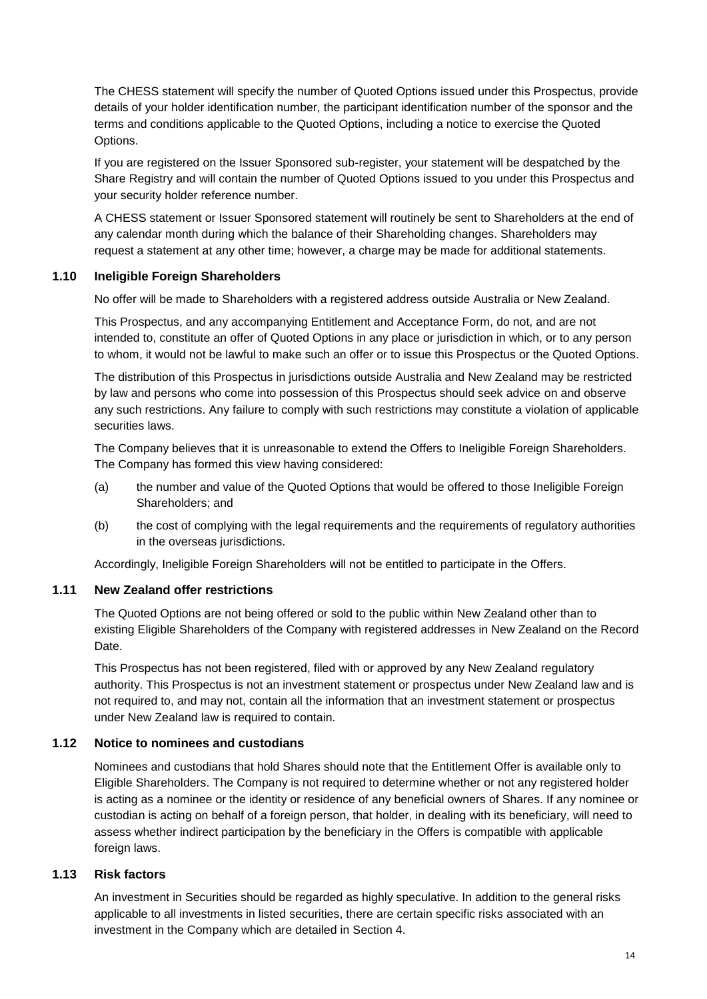The CHESS statement will specify the number of Quoted Options issued under this Prospectus, provide details of your holder identification number, the participant identification number of the sponsor and the terms and conditions applicable to the Quoted Options, including a notice to exercise the Quoted Options.

If you are registered on the Issuer Sponsored sub-register, your statement will be despatched by the Share Registry and will contain the number of Quoted Options issued to you under this Prospectus and your security holder reference number.

A CHESS statement or Issuer Sponsored statement will routinely be sent to Shareholders at the end of any calendar month during which the balance of their Shareholding changes. Shareholders may request a statement at any other time; however, a charge may be made for additional statements.

## <span id="page-13-1"></span>**1.10 Ineligible Foreign Shareholders**

No offer will be made to Shareholders with a registered address outside Australia or New Zealand.

This Prospectus, and any accompanying Entitlement and Acceptance Form, do not, and are not intended to, constitute an offer of Quoted Options in any place or jurisdiction in which, or to any person to whom, it would not be lawful to make such an offer or to issue this Prospectus or the Quoted Options.

The distribution of this Prospectus in jurisdictions outside Australia and New Zealand may be restricted by law and persons who come into possession of this Prospectus should seek advice on and observe any such restrictions. Any failure to comply with such restrictions may constitute a violation of applicable securities laws.

The Company believes that it is unreasonable to extend the Offers to Ineligible Foreign Shareholders. The Company has formed this view having considered:

- (a) the number and value of the Quoted Options that would be offered to those Ineligible Foreign Shareholders; and
- (b) the cost of complying with the legal requirements and the requirements of regulatory authorities in the overseas jurisdictions.

Accordingly, Ineligible Foreign Shareholders will not be entitled to participate in the Offers.

### <span id="page-13-0"></span>**1.11 New Zealand offer restrictions**

The Quoted Options are not being offered or sold to the public within New Zealand other than to existing Eligible Shareholders of the Company with registered addresses in New Zealand on the Record Date.

This Prospectus has not been registered, filed with or approved by any New Zealand regulatory authority. This Prospectus is not an investment statement or prospectus under New Zealand law and is not required to, and may not, contain all the information that an investment statement or prospectus under New Zealand law is required to contain.

### <span id="page-13-2"></span>**1.12 Notice to nominees and custodians**

Nominees and custodians that hold Shares should note that the Entitlement Offer is available only to Eligible Shareholders. The Company is not required to determine whether or not any registered holder is acting as a nominee or the identity or residence of any beneficial owners of Shares. If any nominee or custodian is acting on behalf of a foreign person, that holder, in dealing with its beneficiary, will need to assess whether indirect participation by the beneficiary in the Offers is compatible with applicable foreign laws.

### <span id="page-13-3"></span>**1.13 Risk factors**

An investment in Securities should be regarded as highly speculative. In addition to the general risks applicable to all investments in listed securities, there are certain specific risks associated with an investment in the Company which are detailed in Section [4.](#page-20-0)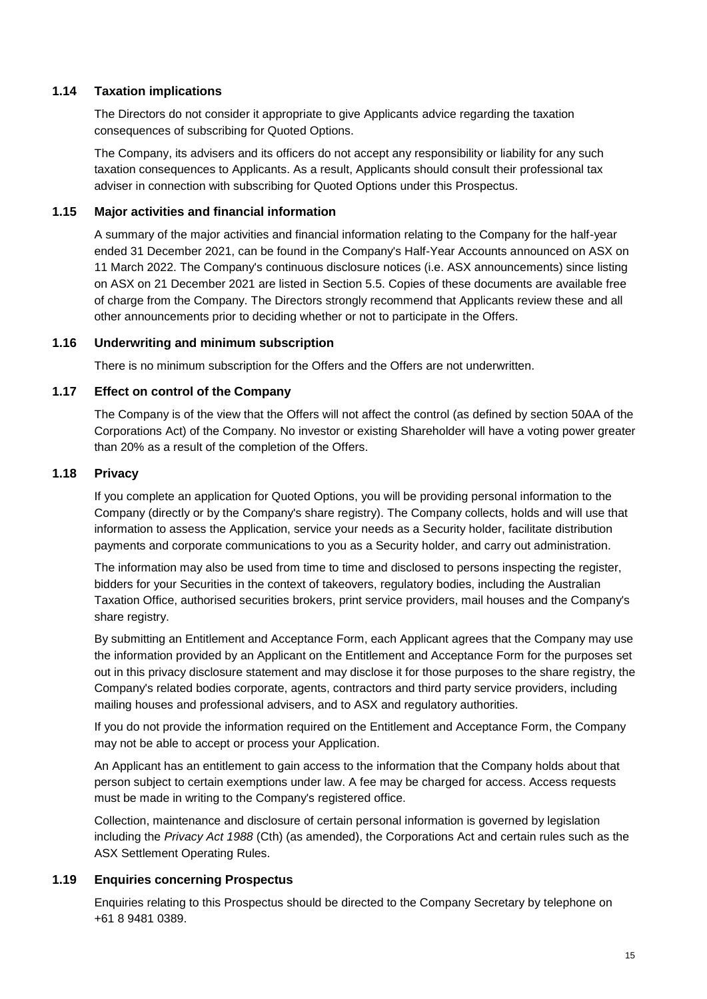### <span id="page-14-1"></span>**1.14 Taxation implications**

The Directors do not consider it appropriate to give Applicants advice regarding the taxation consequences of subscribing for Quoted Options.

The Company, its advisers and its officers do not accept any responsibility or liability for any such taxation consequences to Applicants. As a result, Applicants should consult their professional tax adviser in connection with subscribing for Quoted Options under this Prospectus.

### <span id="page-14-2"></span>**1.15 Major activities and financial information**

A summary of the major activities and financial information relating to the Company for the half-year ended 31 December 2021, can be found in the Company's Half-Year Accounts announced on ASX on 11 March 2022. The Company's continuous disclosure notices (i.e. ASX announcements) since listing on ASX on 21 December 2021 are listed in Section 5.5. Copies of these documents are available free of charge from the Company. The Directors strongly recommend that Applicants review these and all other announcements prior to deciding whether or not to participate in the Offers.

### <span id="page-14-3"></span>**1.16 Underwriting and minimum subscription**

There is no minimum subscription for the Offers and the Offers are not underwritten.

### <span id="page-14-0"></span>**1.17 Effect on control of the Company**

The Company is of the view that the Offers will not affect the control (as defined by section 50AA of the Corporations Act) of the Company. No investor or existing Shareholder will have a voting power greater than 20% as a result of the completion of the Offers.

### <span id="page-14-4"></span>**1.18 Privacy**

If you complete an application for Quoted Options, you will be providing personal information to the Company (directly or by the Company's share registry). The Company collects, holds and will use that information to assess the Application, service your needs as a Security holder, facilitate distribution payments and corporate communications to you as a Security holder, and carry out administration.

The information may also be used from time to time and disclosed to persons inspecting the register, bidders for your Securities in the context of takeovers, regulatory bodies, including the Australian Taxation Office, authorised securities brokers, print service providers, mail houses and the Company's share registry.

By submitting an Entitlement and Acceptance Form, each Applicant agrees that the Company may use the information provided by an Applicant on the Entitlement and Acceptance Form for the purposes set out in this privacy disclosure statement and may disclose it for those purposes to the share registry, the Company's related bodies corporate, agents, contractors and third party service providers, including mailing houses and professional advisers, and to ASX and regulatory authorities.

If you do not provide the information required on the Entitlement and Acceptance Form, the Company may not be able to accept or process your Application.

An Applicant has an entitlement to gain access to the information that the Company holds about that person subject to certain exemptions under law. A fee may be charged for access. Access requests must be made in writing to the Company's registered office.

Collection, maintenance and disclosure of certain personal information is governed by legislation including the *Privacy Act 1988* (Cth) (as amended), the Corporations Act and certain rules such as the ASX Settlement Operating Rules.

### <span id="page-14-5"></span>**1.19 Enquiries concerning Prospectus**

Enquiries relating to this Prospectus should be directed to the Company Secretary by telephone on +61 8 9481 0389.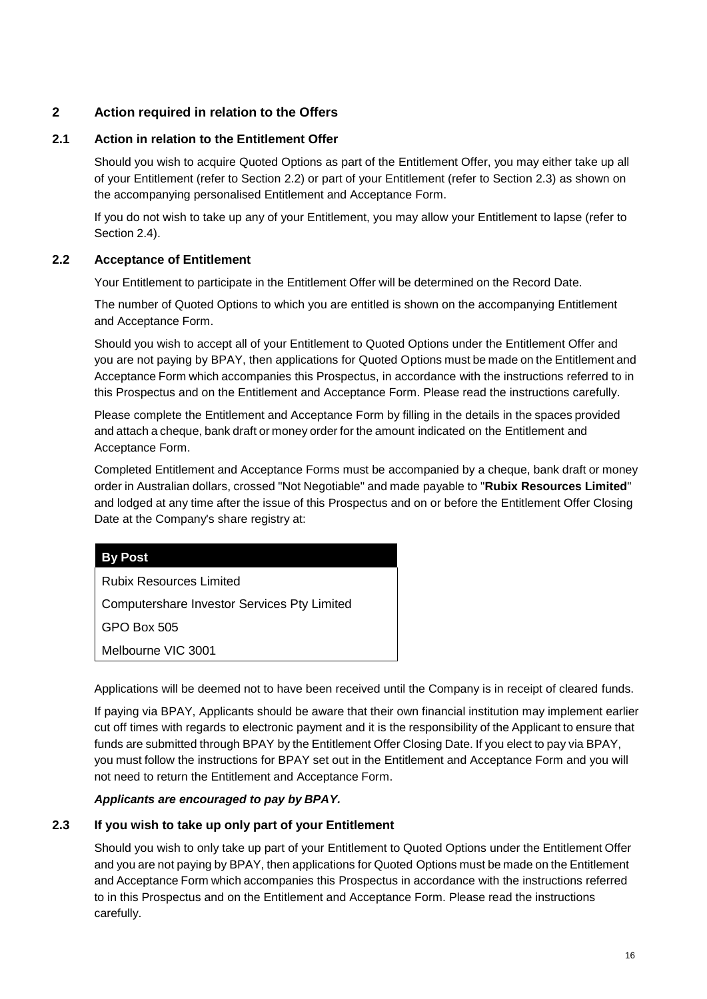# <span id="page-15-0"></span>**2 Action required in relation to the Offers**

# <span id="page-15-1"></span>**2.1 Action in relation to the Entitlement Offer**

Should you wish to acquire Quoted Options as part of the Entitlement Offer, you may either take up all of your Entitlement (refer to Section [2.2\)](#page-15-2) or part of your Entitlement (refer to Section [2.3\)](#page-15-3) as shown on the accompanying personalised Entitlement and Acceptance Form.

If you do not wish to take up any of your Entitlement, you may allow your Entitlement to lapse (refer to Section [2.4\)](#page-16-0).

# <span id="page-15-2"></span>**2.2 Acceptance of Entitlement**

Your Entitlement to participate in the Entitlement Offer will be determined on the Record Date.

The number of Quoted Options to which you are entitled is shown on the accompanying Entitlement and Acceptance Form.

Should you wish to accept all of your Entitlement to Quoted Options under the Entitlement Offer and you are not paying by BPAY, then applications for Quoted Options must be made on the Entitlement and Acceptance Form which accompanies this Prospectus, in accordance with the instructions referred to in this Prospectus and on the Entitlement and Acceptance Form. Please read the instructions carefully.

Please complete the Entitlement and Acceptance Form by filling in the details in the spaces provided and attach a cheque, bank draft or money order for the amount indicated on the Entitlement and Acceptance Form.

Completed Entitlement and Acceptance Forms must be accompanied by a cheque, bank draft or money order in Australian dollars, crossed "Not Negotiable" and made payable to "**Rubix Resources Limited**" and lodged at any time after the issue of this Prospectus and on or before the Entitlement Offer Closing Date at the Company's share registry at:

## **By Post**

Rubix Resources Limited

Computershare Investor Services Pty Limited

GPO Box 505

Melbourne VIC 3001

Applications will be deemed not to have been received until the Company is in receipt of cleared funds.

If paying via BPAY, Applicants should be aware that their own financial institution may implement earlier cut off times with regards to electronic payment and it is the responsibility of the Applicant to ensure that funds are submitted through BPAY by the Entitlement Offer Closing Date. If you elect to pay via BPAY, you must follow the instructions for BPAY set out in the Entitlement and Acceptance Form and you will not need to return the Entitlement and Acceptance Form.

## *Applicants are encouraged to pay by BPAY.*

# <span id="page-15-3"></span>**2.3 If you wish to take up only part of your Entitlement**

Should you wish to only take up part of your Entitlement to Quoted Options under the Entitlement Offer and you are not paying by BPAY, then applications for Quoted Options must be made on the Entitlement and Acceptance Form which accompanies this Prospectus in accordance with the instructions referred to in this Prospectus and on the Entitlement and Acceptance Form. Please read the instructions carefully.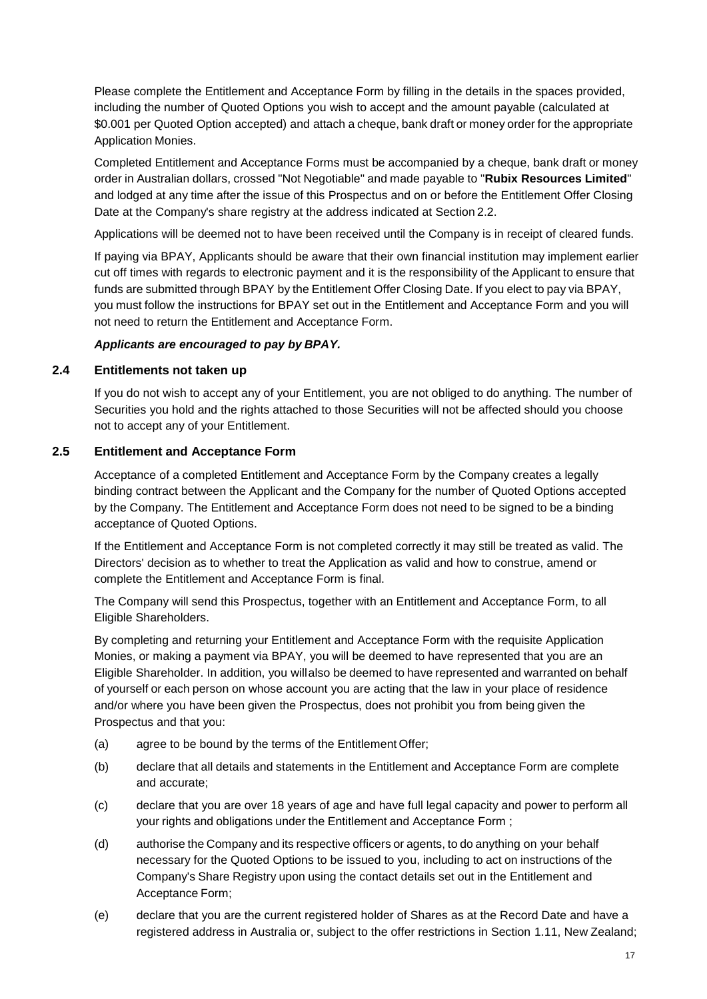Please complete the Entitlement and Acceptance Form by filling in the details in the spaces provided, including the number of Quoted Options you wish to accept and the amount payable (calculated at \$0.001 per Quoted Option accepted) and attach a cheque, bank draft or money order for the appropriate Application Monies.

Completed Entitlement and Acceptance Forms must be accompanied by a cheque, bank draft or money order in Australian dollars, crossed "Not Negotiable" and made payable to "**Rubix Resources Limited**" and lodged at any time after the issue of this Prospectus and on or before the Entitlement Offer Closing Date at the Company's share registry at the address indicated at Section [2.2.](#page-15-2)

Applications will be deemed not to have been received until the Company is in receipt of cleared funds.

If paying via BPAY, Applicants should be aware that their own financial institution may implement earlier cut off times with regards to electronic payment and it is the responsibility of the Applicant to ensure that funds are submitted through BPAY by the Entitlement Offer Closing Date. If you elect to pay via BPAY, you must follow the instructions for BPAY set out in the Entitlement and Acceptance Form and you will not need to return the Entitlement and Acceptance Form.

### *Applicants are encouraged to pay by BPAY.*

### <span id="page-16-0"></span>**2.4 Entitlements not taken up**

If you do not wish to accept any of your Entitlement, you are not obliged to do anything. The number of Securities you hold and the rights attached to those Securities will not be affected should you choose not to accept any of your Entitlement.

# <span id="page-16-1"></span>**2.5 Entitlement and Acceptance Form**

Acceptance of a completed Entitlement and Acceptance Form by the Company creates a legally binding contract between the Applicant and the Company for the number of Quoted Options accepted by the Company. The Entitlement and Acceptance Form does not need to be signed to be a binding acceptance of Quoted Options.

If the Entitlement and Acceptance Form is not completed correctly it may still be treated as valid. The Directors' decision as to whether to treat the Application as valid and how to construe, amend or complete the Entitlement and Acceptance Form is final.

The Company will send this Prospectus, together with an Entitlement and Acceptance Form, to all Eligible Shareholders.

By completing and returning your Entitlement and Acceptance Form with the requisite Application Monies, or making a payment via BPAY, you will be deemed to have represented that you are an Eligible Shareholder. In addition, you willalso be deemed to have represented and warranted on behalf of yourself or each person on whose account you are acting that the law in your place of residence and/or where you have been given the Prospectus, does not prohibit you from being given the Prospectus and that you:

- (a) agree to be bound by the terms of the Entitlement Offer;
- (b) declare that all details and statements in the Entitlement and Acceptance Form are complete and accurate;
- (c) declare that you are over 18 years of age and have full legal capacity and power to perform all your rights and obligations under the Entitlement and Acceptance Form ;
- (d) authorise the Company and its respective officers or agents, to do anything on your behalf necessary for the Quoted Options to be issued to you, including to act on instructions of the Company's Share Registry upon using the contact details set out in the Entitlement and Acceptance Form;
- (e) declare that you are the current registered holder of Shares as at the Record Date and have a registered address in Australia or, subject to the offer restrictions in Section [1.11,](#page-13-0) New Zealand;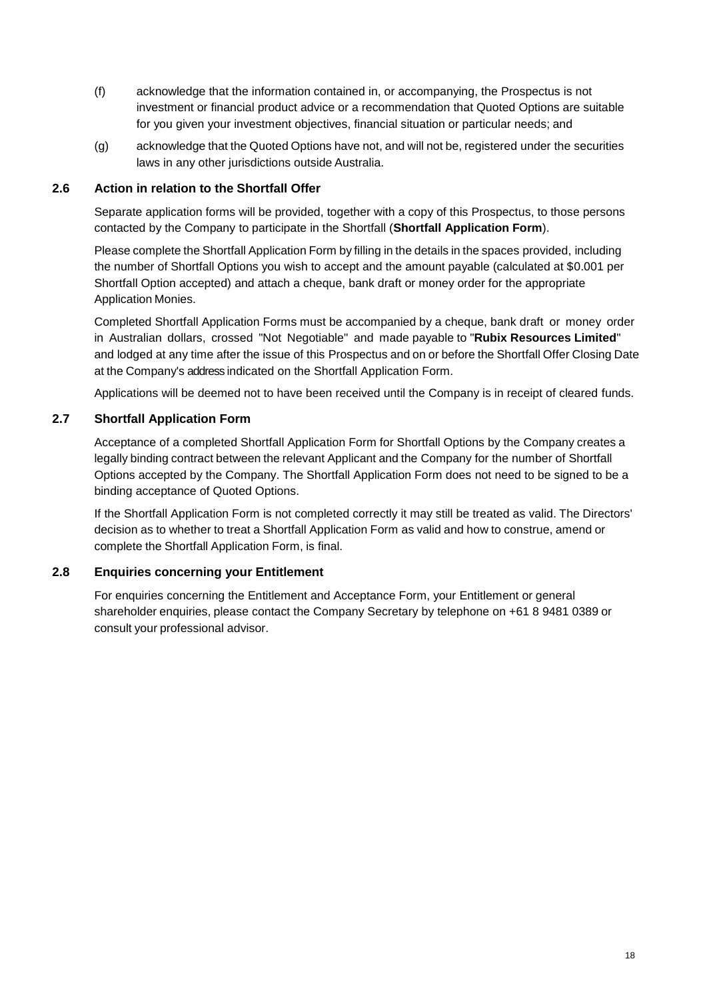- (f) acknowledge that the information contained in, or accompanying, the Prospectus is not investment or financial product advice or a recommendation that Quoted Options are suitable for you given your investment objectives, financial situation or particular needs; and
- (g) acknowledge that the Quoted Options have not, and will not be, registered under the securities laws in any other jurisdictions outside Australia.

## <span id="page-17-0"></span>**2.6 Action in relation to the Shortfall Offer**

Separate application forms will be provided, together with a copy of this Prospectus, to those persons contacted by the Company to participate in the Shortfall (**Shortfall Application Form**).

Please complete the Shortfall Application Form by filling in the details in the spaces provided, including the number of Shortfall Options you wish to accept and the amount payable (calculated at \$0.001 per Shortfall Option accepted) and attach a cheque, bank draft or money order for the appropriate Application Monies.

Completed Shortfall Application Forms must be accompanied by a cheque, bank draft or money order in Australian dollars, crossed "Not Negotiable" and made payable to "**Rubix Resources Limited**" and lodged at any time after the issue of this Prospectus and on or before the Shortfall Offer Closing Date at the Company's address indicated on the Shortfall Application Form.

Applications will be deemed not to have been received until the Company is in receipt of cleared funds.

## <span id="page-17-1"></span>**2.7 Shortfall Application Form**

Acceptance of a completed Shortfall Application Form for Shortfall Options by the Company creates a legally binding contract between the relevant Applicant and the Company for the number of Shortfall Options accepted by the Company. The Shortfall Application Form does not need to be signed to be a binding acceptance of Quoted Options.

If the Shortfall Application Form is not completed correctly it may still be treated as valid. The Directors' decision as to whether to treat a Shortfall Application Form as valid and how to construe, amend or complete the Shortfall Application Form, is final.

## <span id="page-17-2"></span>**2.8 Enquiries concerning your Entitlement**

For enquiries concerning the Entitlement and Acceptance Form, your Entitlement or general shareholder enquiries, please contact the Company Secretary by telephone on +61 8 9481 0389 or consult your professional advisor.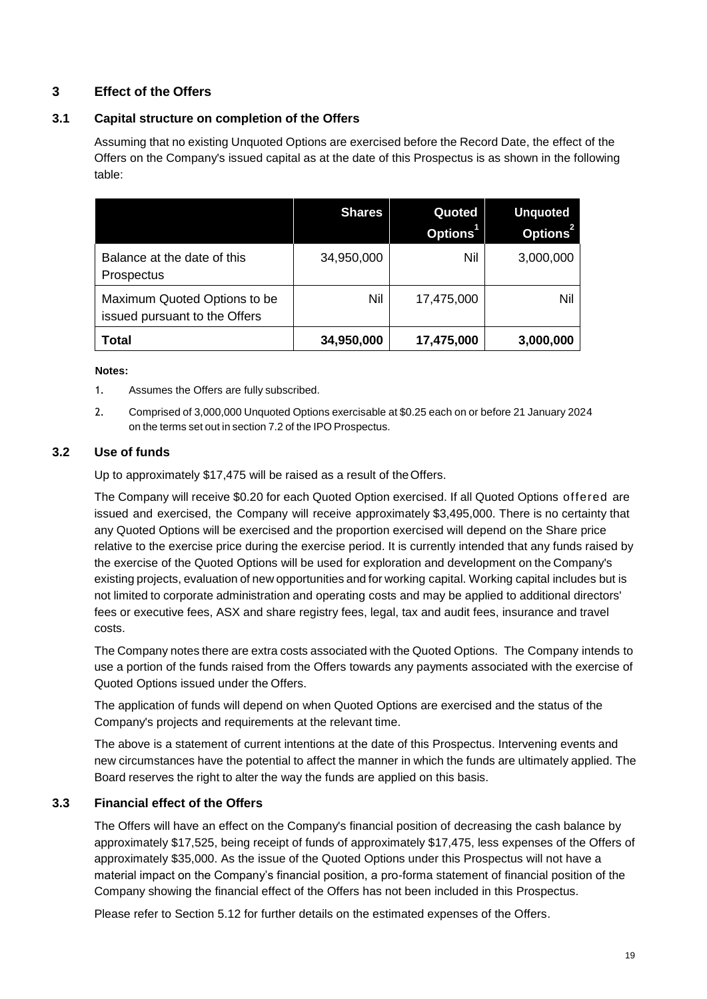# <span id="page-18-1"></span>**3 Effect of the Offers**

## <span id="page-18-2"></span>**3.1 Capital structure on completion of the Offers**

Assuming that no existing Unquoted Options are exercised before the Record Date, the effect of the Offers on the Company's issued capital as at the date of this Prospectus is as shown in the following table:

|                                                               | <b>Shares</b> | Quoted<br>Options | <b>Unquoted</b><br>Options <sup>2</sup> |
|---------------------------------------------------------------|---------------|-------------------|-----------------------------------------|
| Balance at the date of this<br>Prospectus                     | 34,950,000    | Nil               | 3,000,000                               |
| Maximum Quoted Options to be<br>issued pursuant to the Offers | Nil           | 17,475,000        | Nil                                     |
| Total                                                         | 34,950,000    | 17,475,000        | 3,000,000                               |

#### **Notes:**

- 1. Assumes the Offers are fully subscribed.
- 2. Comprised of 3,000,000 Unquoted Options exercisable at \$0.25 each on or before 21 January 2024 on the terms set out in section 7.2 of the IPO Prospectus.

## <span id="page-18-0"></span>**3.2 Use of funds**

Up to approximately \$17,475 will be raised as a result of theOffers.

The Company will receive \$0.20 for each Quoted Option exercised. If all Quoted Options offered are issued and exercised, the Company will receive approximately \$3,495,000. There is no certainty that any Quoted Options will be exercised and the proportion exercised will depend on the Share price relative to the exercise price during the exercise period. It is currently intended that any funds raised by the exercise of the Quoted Options will be used for exploration and development on the Company's existing projects, evaluation of new opportunities and for working capital. Working capital includes but is not limited to corporate administration and operating costs and may be applied to additional directors' fees or executive fees, ASX and share registry fees, legal, tax and audit fees, insurance and travel costs.

The Company notes there are extra costs associated with the Quoted Options. The Company intends to use a portion of the funds raised from the Offers towards any payments associated with the exercise of Quoted Options issued under the Offers.

The application of funds will depend on when Quoted Options are exercised and the status of the Company's projects and requirements at the relevant time.

The above is a statement of current intentions at the date of this Prospectus. Intervening events and new circumstances have the potential to affect the manner in which the funds are ultimately applied. The Board reserves the right to alter the way the funds are applied on this basis.

### <span id="page-18-3"></span>**3.3 Financial effect of the Offers**

The Offers will have an effect on the Company's financial position of decreasing the cash balance by approximately \$17,525, being receipt of funds of approximately \$17,475, less expenses of the Offers of approximately \$35,000. As the issue of the Quoted Options under this Prospectus will not have a material impact on the Company's financial position, a pro-forma statement of financial position of the Company showing the financial effect of the Offers has not been included in this Prospectus.

Please refer to Section [5.12](#page-35-2) for further details on the estimated expenses of the Offers.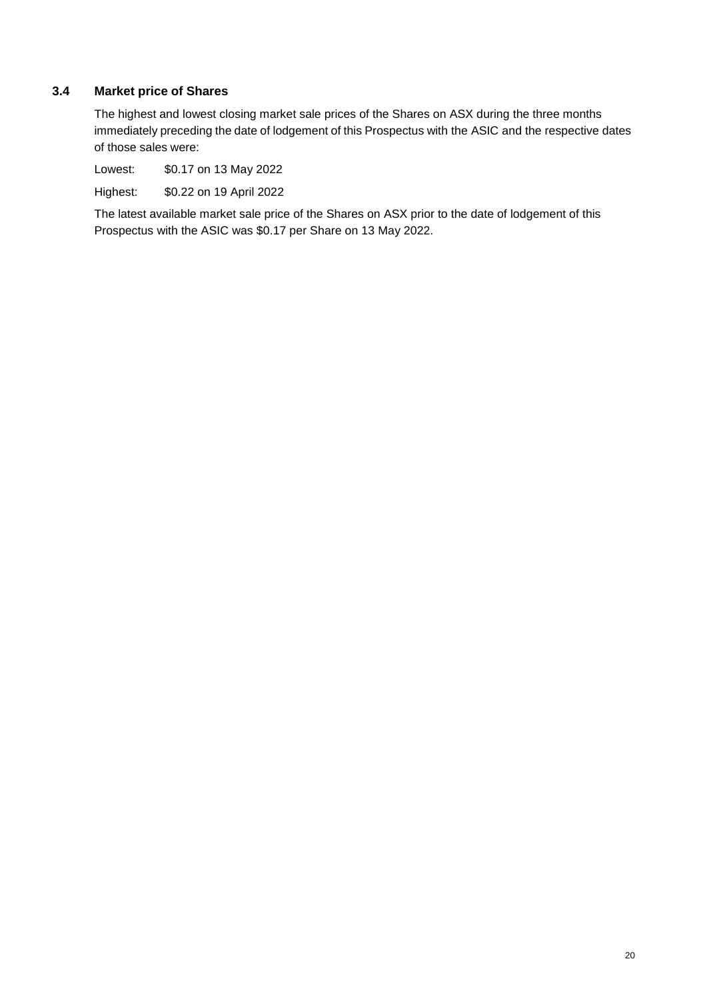# <span id="page-19-0"></span>**3.4 Market price of Shares**

The highest and lowest closing market sale prices of the Shares on ASX during the three months immediately preceding the date of lodgement of this Prospectus with the ASIC and the respective dates of those sales were:

Lowest: \$0.17 on 13 May 2022

Highest: \$0.22 on 19 April 2022

The latest available market sale price of the Shares on ASX prior to the date of lodgement of this Prospectus with the ASIC was \$0.17 per Share on 13 May 2022.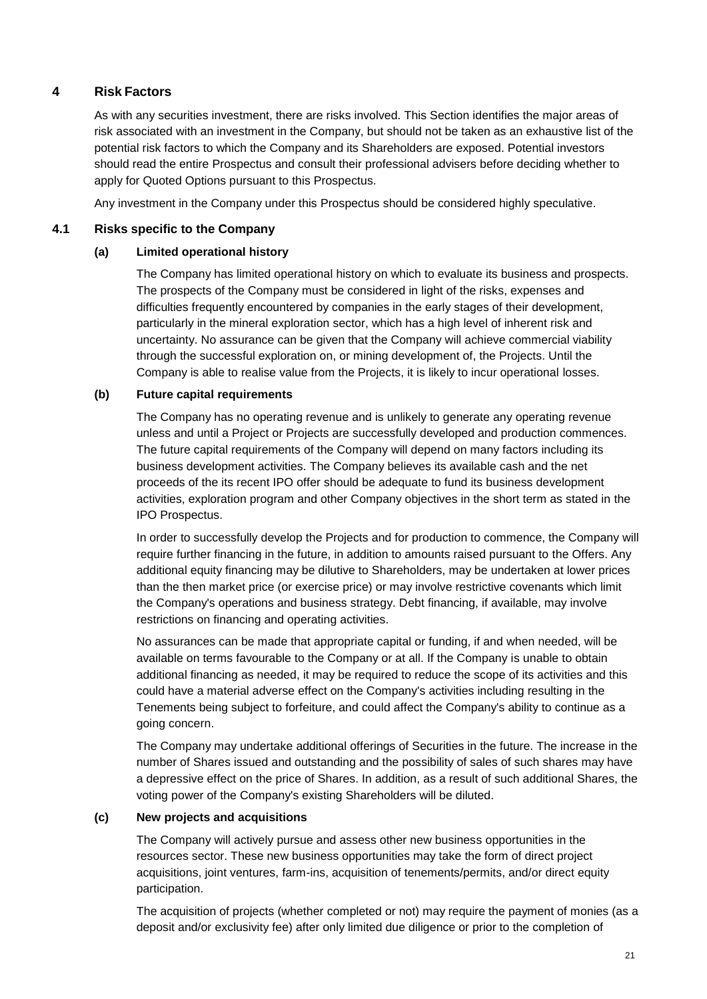# <span id="page-20-0"></span>**4 Risk Factors**

As with any securities investment, there are risks involved. This Section identifies the major areas of risk associated with an investment in the Company, but should not be taken as an exhaustive list of the potential risk factors to which the Company and its Shareholders are exposed. Potential investors should read the entire Prospectus and consult their professional advisers before deciding whether to apply for Quoted Options pursuant to this Prospectus.

Any investment in the Company under this Prospectus should be considered highly speculative.

## <span id="page-20-1"></span>**4.1 Risks specific to the Company**

### **(a) Limited operational history**

The Company has limited operational history on which to evaluate its business and prospects. The prospects of the Company must be considered in light of the risks, expenses and difficulties frequently encountered by companies in the early stages of their development, particularly in the mineral exploration sector, which has a high level of inherent risk and uncertainty. No assurance can be given that the Company will achieve commercial viability through the successful exploration on, or mining development of, the Projects. Until the Company is able to realise value from the Projects, it is likely to incur operational losses.

### **(b) Future capital requirements**

The Company has no operating revenue and is unlikely to generate any operating revenue unless and until a Project or Projects are successfully developed and production commences. The future capital requirements of the Company will depend on many factors including its business development activities. The Company believes its available cash and the net proceeds of the its recent IPO offer should be adequate to fund its business development activities, exploration program and other Company objectives in the short term as stated in the IPO Prospectus.

In order to successfully develop the Projects and for production to commence, the Company will require further financing in the future, in addition to amounts raised pursuant to the Offers. Any additional equity financing may be dilutive to Shareholders, may be undertaken at lower prices than the then market price (or exercise price) or may involve restrictive covenants which limit the Company's operations and business strategy. Debt financing, if available, may involve restrictions on financing and operating activities.

No assurances can be made that appropriate capital or funding, if and when needed, will be available on terms favourable to the Company or at all. If the Company is unable to obtain additional financing as needed, it may be required to reduce the scope of its activities and this could have a material adverse effect on the Company's activities including resulting in the Tenements being subject to forfeiture, and could affect the Company's ability to continue as a going concern.

The Company may undertake additional offerings of Securities in the future. The increase in the number of Shares issued and outstanding and the possibility of sales of such shares may have a depressive effect on the price of Shares. In addition, as a result of such additional Shares, the voting power of the Company's existing Shareholders will be diluted.

### **(c) New projects and acquisitions**

The Company will actively pursue and assess other new business opportunities in the resources sector. These new business opportunities may take the form of direct project acquisitions, joint ventures, farm-ins, acquisition of tenements/permits, and/or direct equity participation.

The acquisition of projects (whether completed or not) may require the payment of monies (as a deposit and/or exclusivity fee) after only limited due diligence or prior to the completion of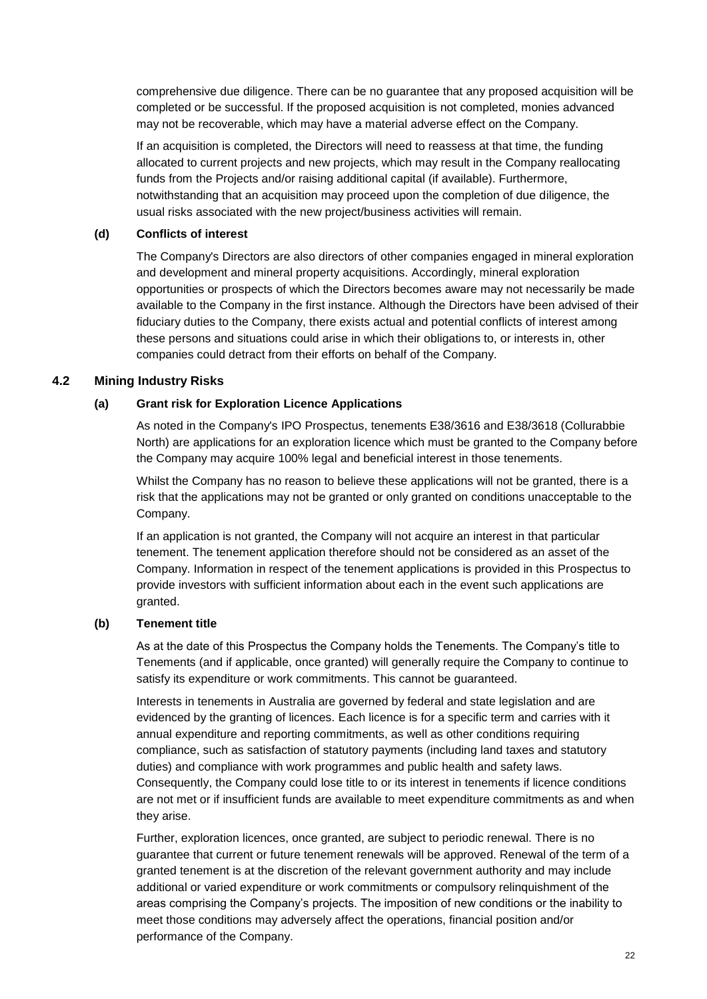comprehensive due diligence. There can be no guarantee that any proposed acquisition will be completed or be successful. If the proposed acquisition is not completed, monies advanced may not be recoverable, which may have a material adverse effect on the Company.

If an acquisition is completed, the Directors will need to reassess at that time, the funding allocated to current projects and new projects, which may result in the Company reallocating funds from the Projects and/or raising additional capital (if available). Furthermore, notwithstanding that an acquisition may proceed upon the completion of due diligence, the usual risks associated with the new project/business activities will remain.

#### **(d) Conflicts of interest**

The Company's Directors are also directors of other companies engaged in mineral exploration and development and mineral property acquisitions. Accordingly, mineral exploration opportunities or prospects of which the Directors becomes aware may not necessarily be made available to the Company in the first instance. Although the Directors have been advised of their fiduciary duties to the Company, there exists actual and potential conflicts of interest among these persons and situations could arise in which their obligations to, or interests in, other companies could detract from their efforts on behalf of the Company.

### <span id="page-21-0"></span>**4.2 Mining Industry Risks**

### **(a) Grant risk for Exploration Licence Applications**

As noted in the Company's IPO Prospectus, tenements E38/3616 and E38/3618 (Collurabbie North) are applications for an exploration licence which must be granted to the Company before the Company may acquire 100% legal and beneficial interest in those tenements.

Whilst the Company has no reason to believe these applications will not be granted, there is a risk that the applications may not be granted or only granted on conditions unacceptable to the Company.

If an application is not granted, the Company will not acquire an interest in that particular tenement. The tenement application therefore should not be considered as an asset of the Company. Information in respect of the tenement applications is provided in this Prospectus to provide investors with sufficient information about each in the event such applications are granted.

### **(b) Tenement title**

As at the date of this Prospectus the Company holds the Tenements. The Company's title to Tenements (and if applicable, once granted) will generally require the Company to continue to satisfy its expenditure or work commitments. This cannot be guaranteed.

Interests in tenements in Australia are governed by federal and state legislation and are evidenced by the granting of licences. Each licence is for a specific term and carries with it annual expenditure and reporting commitments, as well as other conditions requiring compliance, such as satisfaction of statutory payments (including land taxes and statutory duties) and compliance with work programmes and public health and safety laws. Consequently, the Company could lose title to or its interest in tenements if licence conditions are not met or if insufficient funds are available to meet expenditure commitments as and when they arise.

Further, exploration licences, once granted, are subject to periodic renewal. There is no guarantee that current or future tenement renewals will be approved. Renewal of the term of a granted tenement is at the discretion of the relevant government authority and may include additional or varied expenditure or work commitments or compulsory relinquishment of the areas comprising the Company's projects. The imposition of new conditions or the inability to meet those conditions may adversely affect the operations, financial position and/or performance of the Company.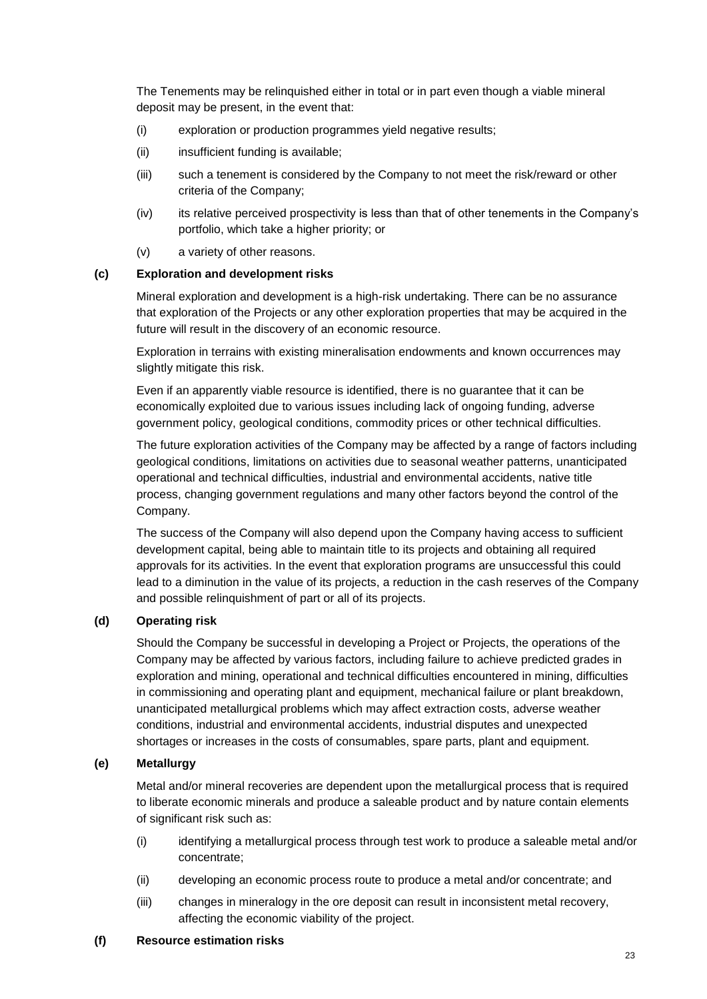The Tenements may be relinquished either in total or in part even though a viable mineral deposit may be present, in the event that:

- (i) exploration or production programmes yield negative results;
- (ii) insufficient funding is available;
- (iii) such a tenement is considered by the Company to not meet the risk/reward or other criteria of the Company;
- (iv) its relative perceived prospectivity is less than that of other tenements in the Company's portfolio, which take a higher priority; or
- (v) a variety of other reasons.

### **(c) Exploration and development risks**

Mineral exploration and development is a high-risk undertaking. There can be no assurance that exploration of the Projects or any other exploration properties that may be acquired in the future will result in the discovery of an economic resource.

Exploration in terrains with existing mineralisation endowments and known occurrences may slightly mitigate this risk.

Even if an apparently viable resource is identified, there is no guarantee that it can be economically exploited due to various issues including lack of ongoing funding, adverse government policy, geological conditions, commodity prices or other technical difficulties.

The future exploration activities of the Company may be affected by a range of factors including geological conditions, limitations on activities due to seasonal weather patterns, unanticipated operational and technical difficulties, industrial and environmental accidents, native title process, changing government regulations and many other factors beyond the control of the Company.

The success of the Company will also depend upon the Company having access to sufficient development capital, being able to maintain title to its projects and obtaining all required approvals for its activities. In the event that exploration programs are unsuccessful this could lead to a diminution in the value of its projects, a reduction in the cash reserves of the Company and possible relinquishment of part or all of its projects.

## **(d) Operating risk**

Should the Company be successful in developing a Project or Projects, the operations of the Company may be affected by various factors, including failure to achieve predicted grades in exploration and mining, operational and technical difficulties encountered in mining, difficulties in commissioning and operating plant and equipment, mechanical failure or plant breakdown, unanticipated metallurgical problems which may affect extraction costs, adverse weather conditions, industrial and environmental accidents, industrial disputes and unexpected shortages or increases in the costs of consumables, spare parts, plant and equipment.

### **(e) Metallurgy**

Metal and/or mineral recoveries are dependent upon the metallurgical process that is required to liberate economic minerals and produce a saleable product and by nature contain elements of significant risk such as:

- (i) identifying a metallurgical process through test work to produce a saleable metal and/or concentrate;
- (ii) developing an economic process route to produce a metal and/or concentrate; and
- (iii) changes in mineralogy in the ore deposit can result in inconsistent metal recovery, affecting the economic viability of the project.

### **(f) Resource estimation risks**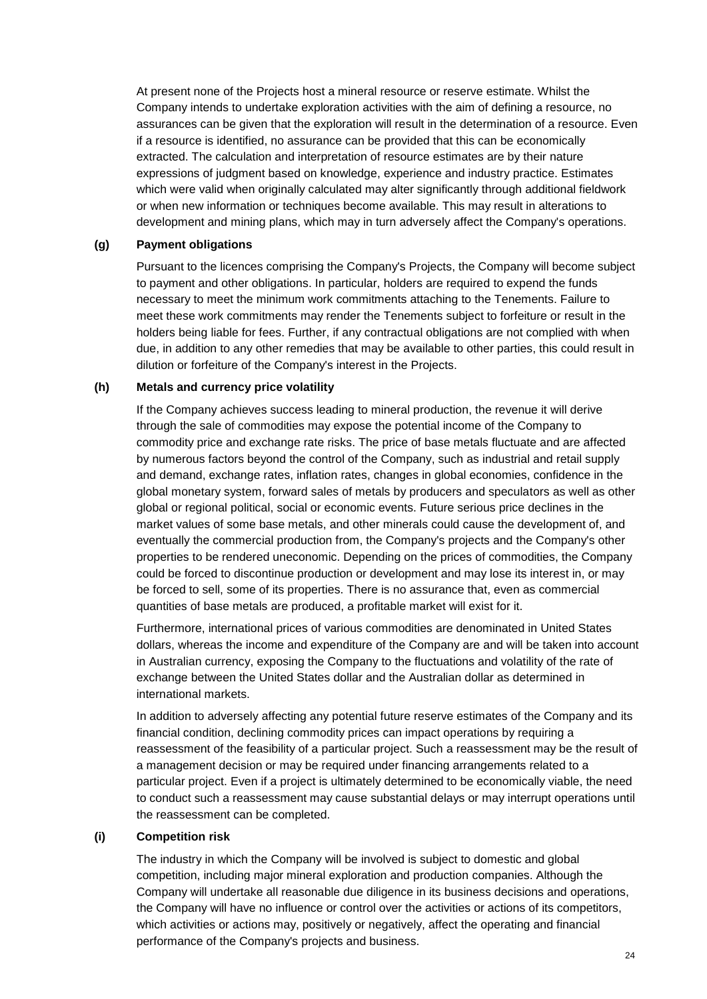At present none of the Projects host a mineral resource or reserve estimate. Whilst the Company intends to undertake exploration activities with the aim of defining a resource, no assurances can be given that the exploration will result in the determination of a resource. Even if a resource is identified, no assurance can be provided that this can be economically extracted. The calculation and interpretation of resource estimates are by their nature expressions of judgment based on knowledge, experience and industry practice. Estimates which were valid when originally calculated may alter significantly through additional fieldwork or when new information or techniques become available. This may result in alterations to development and mining plans, which may in turn adversely affect the Company's operations.

#### **(g) Payment obligations**

Pursuant to the licences comprising the Company's Projects, the Company will become subject to payment and other obligations. In particular, holders are required to expend the funds necessary to meet the minimum work commitments attaching to the Tenements. Failure to meet these work commitments may render the Tenements subject to forfeiture or result in the holders being liable for fees. Further, if any contractual obligations are not complied with when due, in addition to any other remedies that may be available to other parties, this could result in dilution or forfeiture of the Company's interest in the Projects.

#### **(h) Metals and currency price volatility**

If the Company achieves success leading to mineral production, the revenue it will derive through the sale of commodities may expose the potential income of the Company to commodity price and exchange rate risks. The price of base metals fluctuate and are affected by numerous factors beyond the control of the Company, such as industrial and retail supply and demand, exchange rates, inflation rates, changes in global economies, confidence in the global monetary system, forward sales of metals by producers and speculators as well as other global or regional political, social or economic events. Future serious price declines in the market values of some base metals, and other minerals could cause the development of, and eventually the commercial production from, the Company's projects and the Company's other properties to be rendered uneconomic. Depending on the prices of commodities, the Company could be forced to discontinue production or development and may lose its interest in, or may be forced to sell, some of its properties. There is no assurance that, even as commercial quantities of base metals are produced, a profitable market will exist for it.

Furthermore, international prices of various commodities are denominated in United States dollars, whereas the income and expenditure of the Company are and will be taken into account in Australian currency, exposing the Company to the fluctuations and volatility of the rate of exchange between the United States dollar and the Australian dollar as determined in international markets.

In addition to adversely affecting any potential future reserve estimates of the Company and its financial condition, declining commodity prices can impact operations by requiring a reassessment of the feasibility of a particular project. Such a reassessment may be the result of a management decision or may be required under financing arrangements related to a particular project. Even if a project is ultimately determined to be economically viable, the need to conduct such a reassessment may cause substantial delays or may interrupt operations until the reassessment can be completed.

### **(i) Competition risk**

The industry in which the Company will be involved is subject to domestic and global competition, including major mineral exploration and production companies. Although the Company will undertake all reasonable due diligence in its business decisions and operations, the Company will have no influence or control over the activities or actions of its competitors, which activities or actions may, positively or negatively, affect the operating and financial performance of the Company's projects and business.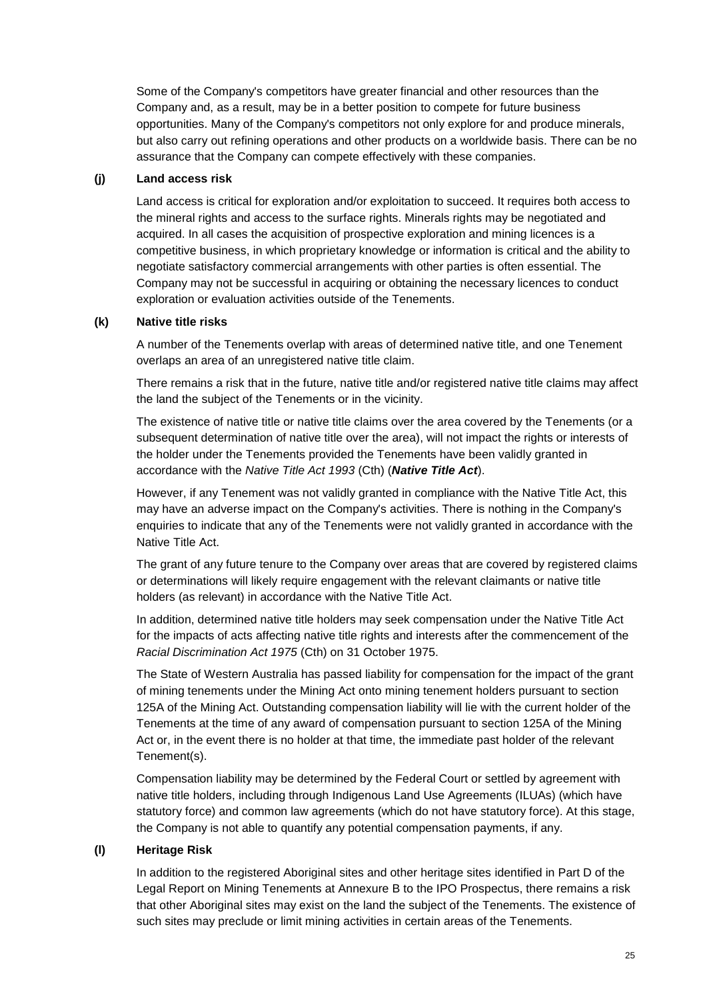Some of the Company's competitors have greater financial and other resources than the Company and, as a result, may be in a better position to compete for future business opportunities. Many of the Company's competitors not only explore for and produce minerals, but also carry out refining operations and other products on a worldwide basis. There can be no assurance that the Company can compete effectively with these companies.

#### **(j) Land access risk**

Land access is critical for exploration and/or exploitation to succeed. It requires both access to the mineral rights and access to the surface rights. Minerals rights may be negotiated and acquired. In all cases the acquisition of prospective exploration and mining licences is a competitive business, in which proprietary knowledge or information is critical and the ability to negotiate satisfactory commercial arrangements with other parties is often essential. The Company may not be successful in acquiring or obtaining the necessary licences to conduct exploration or evaluation activities outside of the Tenements.

#### **(k) Native title risks**

A number of the Tenements overlap with areas of determined native title, and one Tenement overlaps an area of an unregistered native title claim.

There remains a risk that in the future, native title and/or registered native title claims may affect the land the subject of the Tenements or in the vicinity.

The existence of native title or native title claims over the area covered by the Tenements (or a subsequent determination of native title over the area), will not impact the rights or interests of the holder under the Tenements provided the Tenements have been validly granted in accordance with the *Native Title Act 1993* (Cth) (*Native Title Act*).

However, if any Tenement was not validly granted in compliance with the Native Title Act, this may have an adverse impact on the Company's activities. There is nothing in the Company's enquiries to indicate that any of the Tenements were not validly granted in accordance with the Native Title Act.

The grant of any future tenure to the Company over areas that are covered by registered claims or determinations will likely require engagement with the relevant claimants or native title holders (as relevant) in accordance with the Native Title Act.

In addition, determined native title holders may seek compensation under the Native Title Act for the impacts of acts affecting native title rights and interests after the commencement of the *Racial Discrimination Act 1975* (Cth) on 31 October 1975.

The State of Western Australia has passed liability for compensation for the impact of the grant of mining tenements under the Mining Act onto mining tenement holders pursuant to section 125A of the Mining Act. Outstanding compensation liability will lie with the current holder of the Tenements at the time of any award of compensation pursuant to section 125A of the Mining Act or, in the event there is no holder at that time, the immediate past holder of the relevant Tenement(s).

Compensation liability may be determined by the Federal Court or settled by agreement with native title holders, including through Indigenous Land Use Agreements (ILUAs) (which have statutory force) and common law agreements (which do not have statutory force). At this stage, the Company is not able to quantify any potential compensation payments, if any.

### **(l) Heritage Risk**

In addition to the registered Aboriginal sites and other heritage sites identified in Part D of the Legal Report on Mining Tenements at Annexure B to the IPO Prospectus, there remains a risk that other Aboriginal sites may exist on the land the subject of the Tenements. The existence of such sites may preclude or limit mining activities in certain areas of the Tenements.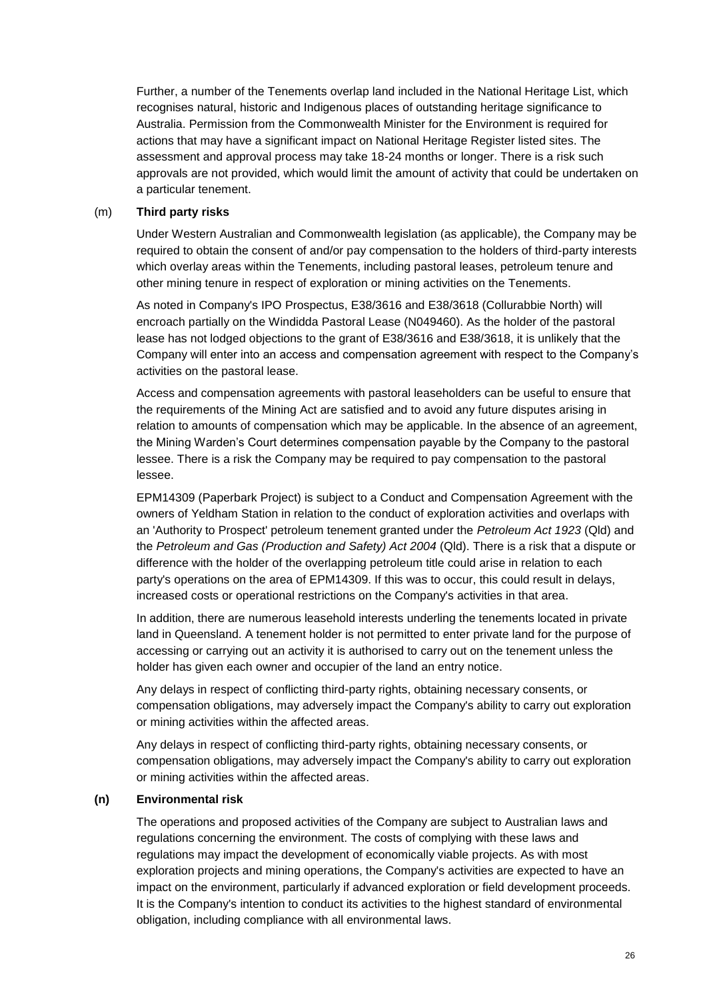Further, a number of the Tenements overlap land included in the National Heritage List, which recognises natural, historic and Indigenous places of outstanding heritage significance to Australia. Permission from the Commonwealth Minister for the Environment is required for actions that may have a significant impact on National Heritage Register listed sites. The assessment and approval process may take 18-24 months or longer. There is a risk such approvals are not provided, which would limit the amount of activity that could be undertaken on a particular tenement.

#### (m) **Third party risks**

Under Western Australian and Commonwealth legislation (as applicable), the Company may be required to obtain the consent of and/or pay compensation to the holders of third-party interests which overlay areas within the Tenements, including pastoral leases, petroleum tenure and other mining tenure in respect of exploration or mining activities on the Tenements.

As noted in Company's IPO Prospectus, E38/3616 and E38/3618 (Collurabbie North) will encroach partially on the Windidda Pastoral Lease (N049460). As the holder of the pastoral lease has not lodged objections to the grant of E38/3616 and E38/3618, it is unlikely that the Company will enter into an access and compensation agreement with respect to the Company's activities on the pastoral lease.

Access and compensation agreements with pastoral leaseholders can be useful to ensure that the requirements of the Mining Act are satisfied and to avoid any future disputes arising in relation to amounts of compensation which may be applicable. In the absence of an agreement, the Mining Warden's Court determines compensation payable by the Company to the pastoral lessee. There is a risk the Company may be required to pay compensation to the pastoral lessee.

EPM14309 (Paperbark Project) is subject to a Conduct and Compensation Agreement with the owners of Yeldham Station in relation to the conduct of exploration activities and overlaps with an 'Authority to Prospect' petroleum tenement granted under the *Petroleum Act 1923* (Qld) and the *Petroleum and Gas (Production and Safety) Act 2004* (Qld). There is a risk that a dispute or difference with the holder of the overlapping petroleum title could arise in relation to each party's operations on the area of EPM14309. If this was to occur, this could result in delays, increased costs or operational restrictions on the Company's activities in that area.

In addition, there are numerous leasehold interests underling the tenements located in private land in Queensland. A tenement holder is not permitted to enter private land for the purpose of accessing or carrying out an activity it is authorised to carry out on the tenement unless the holder has given each owner and occupier of the land an entry notice.

Any delays in respect of conflicting third-party rights, obtaining necessary consents, or compensation obligations, may adversely impact the Company's ability to carry out exploration or mining activities within the affected areas.

Any delays in respect of conflicting third-party rights, obtaining necessary consents, or compensation obligations, may adversely impact the Company's ability to carry out exploration or mining activities within the affected areas.

#### **(n) Environmental risk**

The operations and proposed activities of the Company are subject to Australian laws and regulations concerning the environment. The costs of complying with these laws and regulations may impact the development of economically viable projects. As with most exploration projects and mining operations, the Company's activities are expected to have an impact on the environment, particularly if advanced exploration or field development proceeds. It is the Company's intention to conduct its activities to the highest standard of environmental obligation, including compliance with all environmental laws.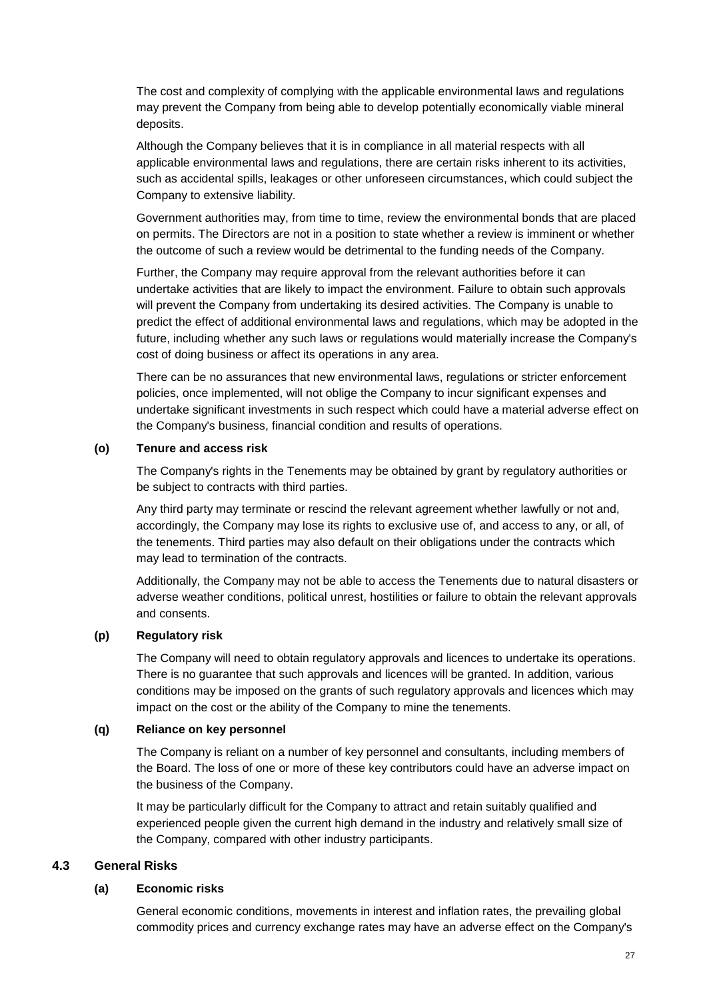The cost and complexity of complying with the applicable environmental laws and regulations may prevent the Company from being able to develop potentially economically viable mineral deposits.

Although the Company believes that it is in compliance in all material respects with all applicable environmental laws and regulations, there are certain risks inherent to its activities, such as accidental spills, leakages or other unforeseen circumstances, which could subject the Company to extensive liability.

Government authorities may, from time to time, review the environmental bonds that are placed on permits. The Directors are not in a position to state whether a review is imminent or whether the outcome of such a review would be detrimental to the funding needs of the Company.

Further, the Company may require approval from the relevant authorities before it can undertake activities that are likely to impact the environment. Failure to obtain such approvals will prevent the Company from undertaking its desired activities. The Company is unable to predict the effect of additional environmental laws and regulations, which may be adopted in the future, including whether any such laws or regulations would materially increase the Company's cost of doing business or affect its operations in any area.

There can be no assurances that new environmental laws, regulations or stricter enforcement policies, once implemented, will not oblige the Company to incur significant expenses and undertake significant investments in such respect which could have a material adverse effect on the Company's business, financial condition and results of operations.

### **(o) Tenure and access risk**

The Company's rights in the Tenements may be obtained by grant by regulatory authorities or be subject to contracts with third parties.

Any third party may terminate or rescind the relevant agreement whether lawfully or not and, accordingly, the Company may lose its rights to exclusive use of, and access to any, or all, of the tenements. Third parties may also default on their obligations under the contracts which may lead to termination of the contracts.

Additionally, the Company may not be able to access the Tenements due to natural disasters or adverse weather conditions, political unrest, hostilities or failure to obtain the relevant approvals and consents.

### **(p) Regulatory risk**

The Company will need to obtain regulatory approvals and licences to undertake its operations. There is no guarantee that such approvals and licences will be granted. In addition, various conditions may be imposed on the grants of such regulatory approvals and licences which may impact on the cost or the ability of the Company to mine the tenements.

#### **(q) Reliance on key personnel**

The Company is reliant on a number of key personnel and consultants, including members of the Board. The loss of one or more of these key contributors could have an adverse impact on the business of the Company.

It may be particularly difficult for the Company to attract and retain suitably qualified and experienced people given the current high demand in the industry and relatively small size of the Company, compared with other industry participants.

### <span id="page-26-0"></span>**4.3 General Risks**

### **(a) Economic risks**

General economic conditions, movements in interest and inflation rates, the prevailing global commodity prices and currency exchange rates may have an adverse effect on the Company's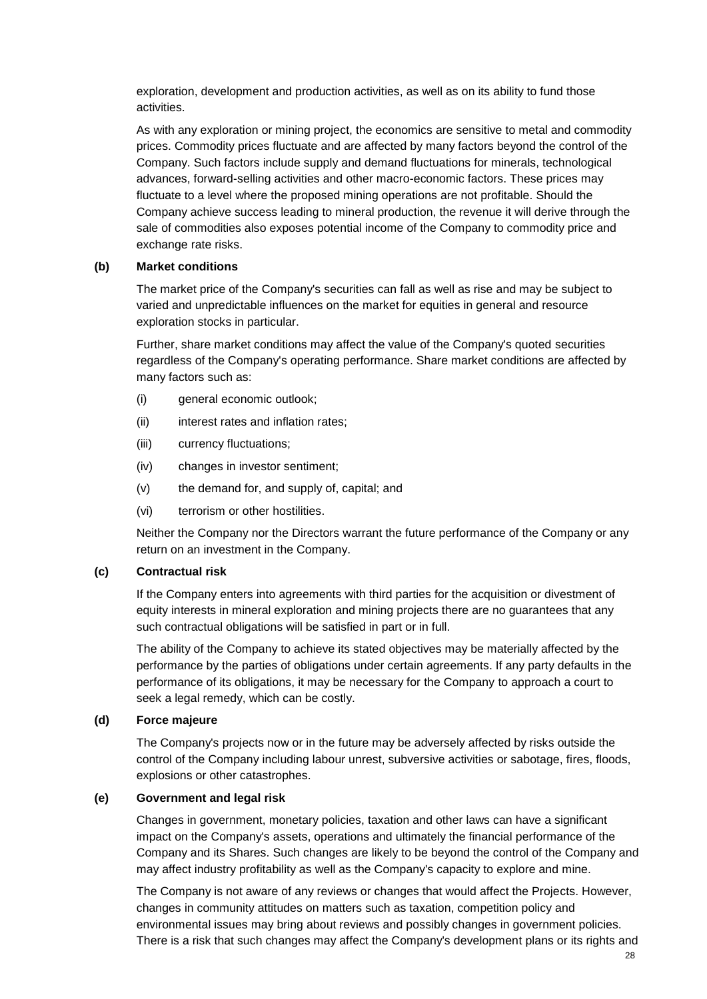exploration, development and production activities, as well as on its ability to fund those activities.

As with any exploration or mining project, the economics are sensitive to metal and commodity prices. Commodity prices fluctuate and are affected by many factors beyond the control of the Company. Such factors include supply and demand fluctuations for minerals, technological advances, forward-selling activities and other macro-economic factors. These prices may fluctuate to a level where the proposed mining operations are not profitable. Should the Company achieve success leading to mineral production, the revenue it will derive through the sale of commodities also exposes potential income of the Company to commodity price and exchange rate risks.

#### **(b) Market conditions**

The market price of the Company's securities can fall as well as rise and may be subject to varied and unpredictable influences on the market for equities in general and resource exploration stocks in particular.

Further, share market conditions may affect the value of the Company's quoted securities regardless of the Company's operating performance. Share market conditions are affected by many factors such as:

- (i) general economic outlook;
- (ii) interest rates and inflation rates;
- (iii) currency fluctuations;
- (iv) changes in investor sentiment;
- (v) the demand for, and supply of, capital; and
- (vi) terrorism or other hostilities.

Neither the Company nor the Directors warrant the future performance of the Company or any return on an investment in the Company.

### **(c) Contractual risk**

If the Company enters into agreements with third parties for the acquisition or divestment of equity interests in mineral exploration and mining projects there are no guarantees that any such contractual obligations will be satisfied in part or in full.

The ability of the Company to achieve its stated objectives may be materially affected by the performance by the parties of obligations under certain agreements. If any party defaults in the performance of its obligations, it may be necessary for the Company to approach a court to seek a legal remedy, which can be costly.

#### **(d) Force majeure**

The Company's projects now or in the future may be adversely affected by risks outside the control of the Company including labour unrest, subversive activities or sabotage, fires, floods, explosions or other catastrophes.

#### **(e) Government and legal risk**

Changes in government, monetary policies, taxation and other laws can have a significant impact on the Company's assets, operations and ultimately the financial performance of the Company and its Shares. Such changes are likely to be beyond the control of the Company and may affect industry profitability as well as the Company's capacity to explore and mine.

The Company is not aware of any reviews or changes that would affect the Projects. However, changes in community attitudes on matters such as taxation, competition policy and environmental issues may bring about reviews and possibly changes in government policies. There is a risk that such changes may affect the Company's development plans or its rights and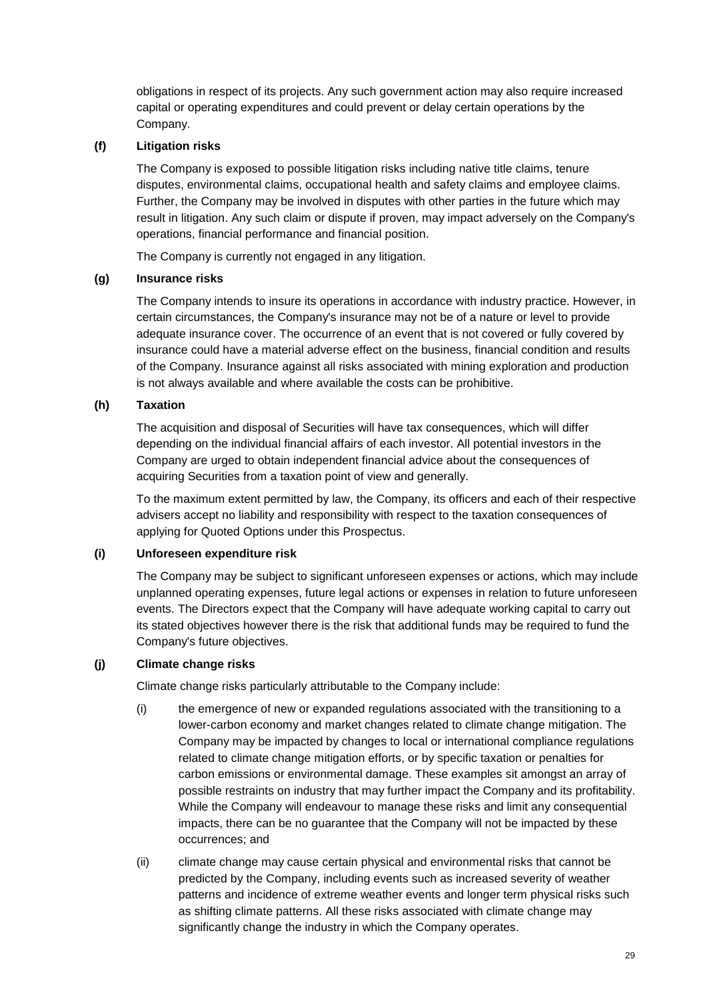obligations in respect of its projects. Any such government action may also require increased capital or operating expenditures and could prevent or delay certain operations by the Company.

### **(f) Litigation risks**

The Company is exposed to possible litigation risks including native title claims, tenure disputes, environmental claims, occupational health and safety claims and employee claims. Further, the Company may be involved in disputes with other parties in the future which may result in litigation. Any such claim or dispute if proven, may impact adversely on the Company's operations, financial performance and financial position.

The Company is currently not engaged in any litigation.

### **(g) Insurance risks**

The Company intends to insure its operations in accordance with industry practice. However, in certain circumstances, the Company's insurance may not be of a nature or level to provide adequate insurance cover. The occurrence of an event that is not covered or fully covered by insurance could have a material adverse effect on the business, financial condition and results of the Company. Insurance against all risks associated with mining exploration and production is not always available and where available the costs can be prohibitive.

### **(h) Taxation**

The acquisition and disposal of Securities will have tax consequences, which will differ depending on the individual financial affairs of each investor. All potential investors in the Company are urged to obtain independent financial advice about the consequences of acquiring Securities from a taxation point of view and generally.

To the maximum extent permitted by law, the Company, its officers and each of their respective advisers accept no liability and responsibility with respect to the taxation consequences of applying for Quoted Options under this Prospectus.

### **(i) Unforeseen expenditure risk**

The Company may be subject to significant unforeseen expenses or actions, which may include unplanned operating expenses, future legal actions or expenses in relation to future unforeseen events. The Directors expect that the Company will have adequate working capital to carry out its stated objectives however there is the risk that additional funds may be required to fund the Company's future objectives.

### **(j) Climate change risks**

Climate change risks particularly attributable to the Company include:

- (i) the emergence of new or expanded regulations associated with the transitioning to a lower-carbon economy and market changes related to climate change mitigation. The Company may be impacted by changes to local or international compliance regulations related to climate change mitigation efforts, or by specific taxation or penalties for carbon emissions or environmental damage. These examples sit amongst an array of possible restraints on industry that may further impact the Company and its profitability. While the Company will endeavour to manage these risks and limit any consequential impacts, there can be no guarantee that the Company will not be impacted by these occurrences; and
- (ii) climate change may cause certain physical and environmental risks that cannot be predicted by the Company, including events such as increased severity of weather patterns and incidence of extreme weather events and longer term physical risks such as shifting climate patterns. All these risks associated with climate change may significantly change the industry in which the Company operates.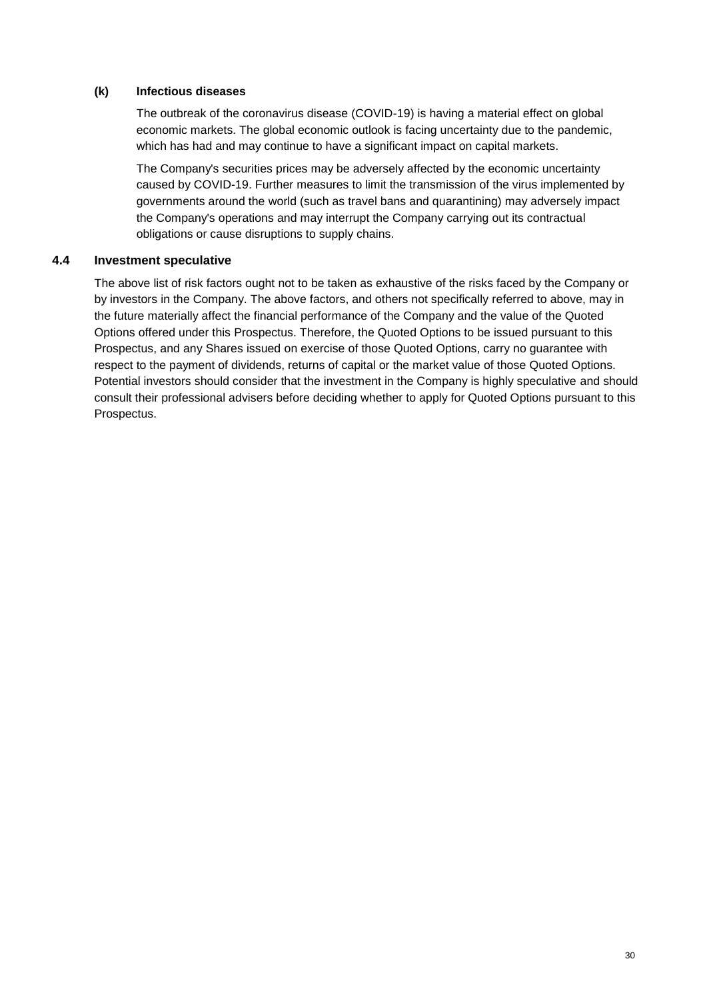### **(k) Infectious diseases**

The outbreak of the coronavirus disease (COVID-19) is having a material effect on global economic markets. The global economic outlook is facing uncertainty due to the pandemic, which has had and may continue to have a significant impact on capital markets.

The Company's securities prices may be adversely affected by the economic uncertainty caused by COVID-19. Further measures to limit the transmission of the virus implemented by governments around the world (such as travel bans and quarantining) may adversely impact the Company's operations and may interrupt the Company carrying out its contractual obligations or cause disruptions to supply chains.

## <span id="page-29-0"></span>**4.4 Investment speculative**

The above list of risk factors ought not to be taken as exhaustive of the risks faced by the Company or by investors in the Company. The above factors, and others not specifically referred to above, may in the future materially affect the financial performance of the Company and the value of the Quoted Options offered under this Prospectus. Therefore, the Quoted Options to be issued pursuant to this Prospectus, and any Shares issued on exercise of those Quoted Options, carry no guarantee with respect to the payment of dividends, returns of capital or the market value of those Quoted Options. Potential investors should consider that the investment in the Company is highly speculative and should consult their professional advisers before deciding whether to apply for Quoted Options pursuant to this Prospectus.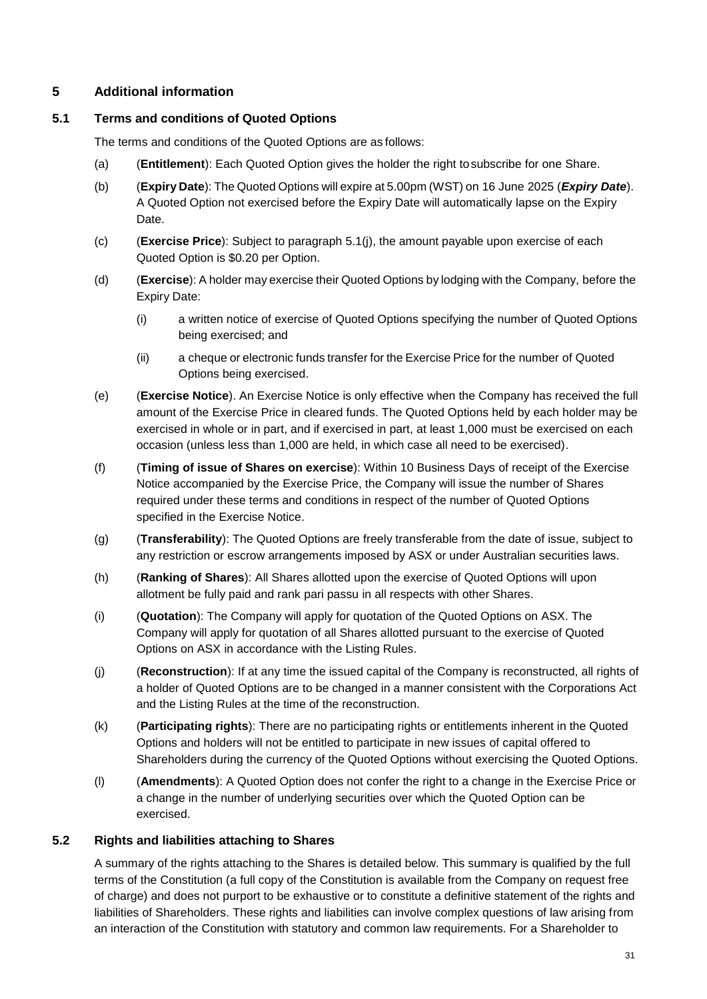# <span id="page-30-1"></span>**5 Additional information**

### <span id="page-30-0"></span>**5.1 Terms and conditions of Quoted Options**

The terms and conditions of the Quoted Options are as follows:

- (a) (**Entitlement**): Each Quoted Option gives the holder the right tosubscribe for one Share.
- (b) (**Expiry Date**): The Quoted Options will expire at 5.00pm (WST) on 16 June 2025 (*Expiry Date*). A Quoted Option not exercised before the Expiry Date will automatically lapse on the Expiry Date.
- (c) (**Exercise Price**): Subject to paragraph [5.1\(j\),](#page-30-3) the amount payable upon exercise of each Quoted Option is \$0.20 per Option.
- (d) (**Exercise**): A holder may exercise their Quoted Options by lodging with the Company, before the Expiry Date:
	- (i) a written notice of exercise of Quoted Options specifying the number of Quoted Options being exercised; and
	- (ii) a cheque or electronic funds transfer for the Exercise Price for the number of Quoted Options being exercised.
- (e) (**Exercise Notice**). An Exercise Notice is only effective when the Company has received the full amount of the Exercise Price in cleared funds. The Quoted Options held by each holder may be exercised in whole or in part, and if exercised in part, at least 1,000 must be exercised on each occasion (unless less than 1,000 are held, in which case all need to be exercised).
- (f) (**Timing of issue of Shares on exercise**): Within 10 Business Days of receipt of the Exercise Notice accompanied by the Exercise Price, the Company will issue the number of Shares required under these terms and conditions in respect of the number of Quoted Options specified in the Exercise Notice.
- (g) (**Transferability**): The Quoted Options are freely transferable from the date of issue, subject to any restriction or escrow arrangements imposed by ASX or under Australian securities laws.
- (h) (**Ranking of Shares**): All Shares allotted upon the exercise of Quoted Options will upon allotment be fully paid and rank pari passu in all respects with other Shares.
- (i) (**Quotation**): The Company will apply for quotation of the Quoted Options on ASX. The Company will apply for quotation of all Shares allotted pursuant to the exercise of Quoted Options on ASX in accordance with the Listing Rules.
- <span id="page-30-3"></span>(j) (**Reconstruction**): If at any time the issued capital of the Company is reconstructed, all rights of a holder of Quoted Options are to be changed in a manner consistent with the Corporations Act and the Listing Rules at the time of the reconstruction.
- (k) (**Participating rights**): There are no participating rights or entitlements inherent in the Quoted Options and holders will not be entitled to participate in new issues of capital offered to Shareholders during the currency of the Quoted Options without exercising the Quoted Options.
- (l) (**Amendments**): A Quoted Option does not confer the right to a change in the Exercise Price or a change in the number of underlying securities over which the Quoted Option can be exercised.

## <span id="page-30-2"></span>**5.2 Rights and liabilities attaching to Shares**

A summary of the rights attaching to the Shares is detailed below. This summary is qualified by the full terms of the Constitution (a full copy of the Constitution is available from the Company on request free of charge) and does not purport to be exhaustive or to constitute a definitive statement of the rights and liabilities of Shareholders. These rights and liabilities can involve complex questions of law arising from an interaction of the Constitution with statutory and common law requirements. For a Shareholder to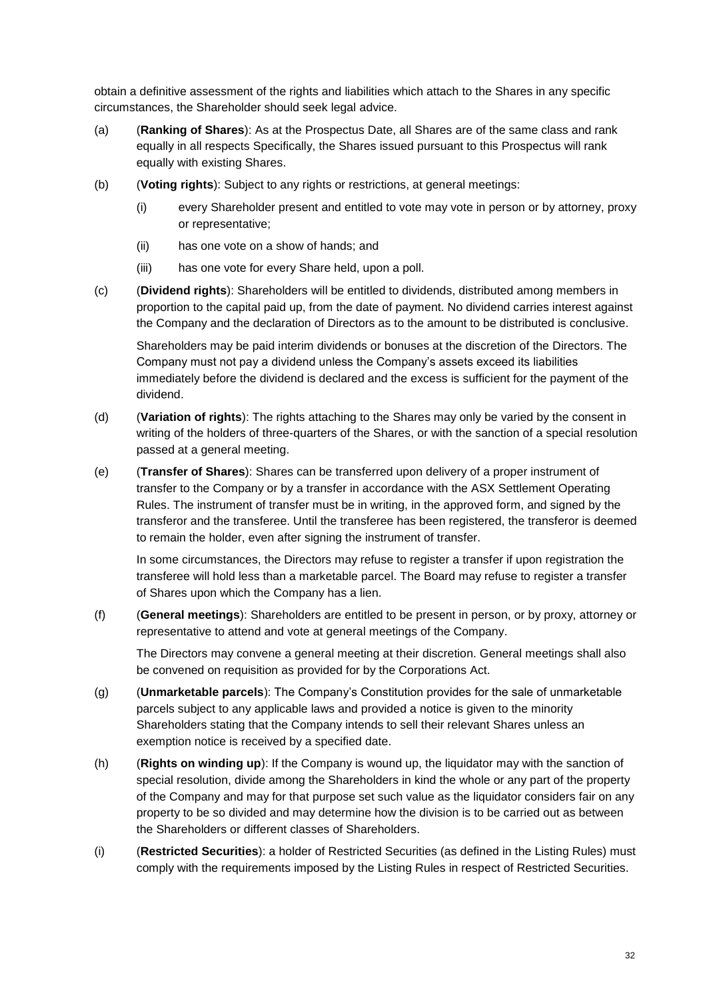obtain a definitive assessment of the rights and liabilities which attach to the Shares in any specific circumstances, the Shareholder should seek legal advice.

- (a) (**Ranking of Shares**): As at the Prospectus Date, all Shares are of the same class and rank equally in all respects Specifically, the Shares issued pursuant to this Prospectus will rank equally with existing Shares.
- (b) (**Voting rights**): Subject to any rights or restrictions, at general meetings:
	- (i) every Shareholder present and entitled to vote may vote in person or by attorney, proxy or representative;
	- (ii) has one vote on a show of hands; and
	- (iii) has one vote for every Share held, upon a poll.
- (c) (**Dividend rights**): Shareholders will be entitled to dividends, distributed among members in proportion to the capital paid up, from the date of payment. No dividend carries interest against the Company and the declaration of Directors as to the amount to be distributed is conclusive.

Shareholders may be paid interim dividends or bonuses at the discretion of the Directors. The Company must not pay a dividend unless the Company's assets exceed its liabilities immediately before the dividend is declared and the excess is sufficient for the payment of the dividend.

- (d) (**Variation of rights**): The rights attaching to the Shares may only be varied by the consent in writing of the holders of three-quarters of the Shares, or with the sanction of a special resolution passed at a general meeting.
- (e) (**Transfer of Shares**): Shares can be transferred upon delivery of a proper instrument of transfer to the Company or by a transfer in accordance with the ASX Settlement Operating Rules. The instrument of transfer must be in writing, in the approved form, and signed by the transferor and the transferee. Until the transferee has been registered, the transferor is deemed to remain the holder, even after signing the instrument of transfer.

In some circumstances, the Directors may refuse to register a transfer if upon registration the transferee will hold less than a marketable parcel. The Board may refuse to register a transfer of Shares upon which the Company has a lien.

(f) (**General meetings**): Shareholders are entitled to be present in person, or by proxy, attorney or representative to attend and vote at general meetings of the Company.

The Directors may convene a general meeting at their discretion. General meetings shall also be convened on requisition as provided for by the Corporations Act.

- (g) (**Unmarketable parcels**): The Company's Constitution provides for the sale of unmarketable parcels subject to any applicable laws and provided a notice is given to the minority Shareholders stating that the Company intends to sell their relevant Shares unless an exemption notice is received by a specified date.
- (h) (**Rights on winding up**): If the Company is wound up, the liquidator may with the sanction of special resolution, divide among the Shareholders in kind the whole or any part of the property of the Company and may for that purpose set such value as the liquidator considers fair on any property to be so divided and may determine how the division is to be carried out as between the Shareholders or different classes of Shareholders.
- (i) (**Restricted Securities**): a holder of Restricted Securities (as defined in the Listing Rules) must comply with the requirements imposed by the Listing Rules in respect of Restricted Securities.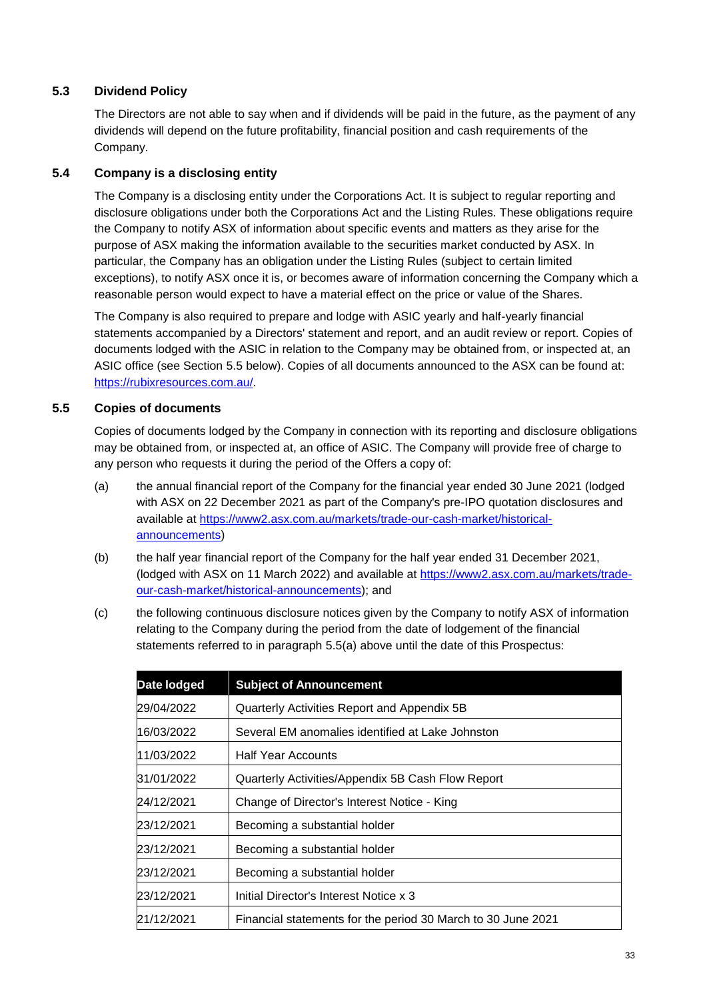# <span id="page-32-2"></span>**5.3 Dividend Policy**

The Directors are not able to say when and if dividends will be paid in the future, as the payment of any dividends will depend on the future profitability, financial position and cash requirements of the Company.

# <span id="page-32-1"></span>**5.4 Company is a disclosing entity**

The Company is a disclosing entity under the Corporations Act. It is subject to regular reporting and disclosure obligations under both the Corporations Act and the Listing Rules. These obligations require the Company to notify ASX of information about specific events and matters as they arise for the purpose of ASX making the information available to the securities market conducted by ASX. In particular, the Company has an obligation under the Listing Rules (subject to certain limited exceptions), to notify ASX once it is, or becomes aware of information concerning the Company which a reasonable person would expect to have a material effect on the price or value of the Shares.

The Company is also required to prepare and lodge with ASIC yearly and half-yearly financial statements accompanied by a Directors' statement and report, and an audit review or report. Copies of documents lodged with the ASIC in relation to the Company may be obtained from, or inspected at, an ASIC office (see Section 5.5 below). Copies of all documents announced to the ASX can be found at: [https://rubixresources.com.au/.](https://rubixresources.com.au/)

# <span id="page-32-0"></span>**5.5 Copies of documents**

Copies of documents lodged by the Company in connection with its reporting and disclosure obligations may be obtained from, or inspected at, an office of ASIC. The Company will provide free of charge to any person who requests it during the period of the Offers a copy of:

- (a) the annual financial report of the Company for the financial year ended 30 June 2021 (lodged with ASX on 22 December 2021 as part of the Company's pre-IPO quotation disclosures and available at [https://www2.asx.com.au/markets/trade-our-cash-market/historical](https://www2.asx.com.au/markets/trade-our-cash-market/historical-announcements)[announcements\)](https://www2.asx.com.au/markets/trade-our-cash-market/historical-announcements)
- (b) the half year financial report of the Company for the half year ended 31 December 2021, (lodged with ASX on 11 March 2022) and available at [https://www2.asx.com.au/markets/trade](https://www2.asx.com.au/markets/trade-our-cash-market/historical-announcements)[our-cash-market/historical-announcements\)](https://www2.asx.com.au/markets/trade-our-cash-market/historical-announcements); and
- (c) the following continuous disclosure notices given by the Company to notify ASX of information relating to the Company during the period from the date of lodgement of the financial statements referred to in paragraph 5.5(a) above until the date of this Prospectus:

| Date lodged | <b>Subject of Announcement</b>                               |  |
|-------------|--------------------------------------------------------------|--|
| 29/04/2022  | Quarterly Activities Report and Appendix 5B                  |  |
| 16/03/2022  | Several EM anomalies identified at Lake Johnston             |  |
| 11/03/2022  | <b>Half Year Accounts</b>                                    |  |
| 31/01/2022  | Quarterly Activities/Appendix 5B Cash Flow Report            |  |
| 24/12/2021  | Change of Director's Interest Notice - King                  |  |
| 23/12/2021  | Becoming a substantial holder                                |  |
| 23/12/2021  | Becoming a substantial holder                                |  |
| 23/12/2021  | Becoming a substantial holder                                |  |
| 23/12/2021  | Initial Director's Interest Notice x 3                       |  |
| 21/12/2021  | Financial statements for the period 30 March to 30 June 2021 |  |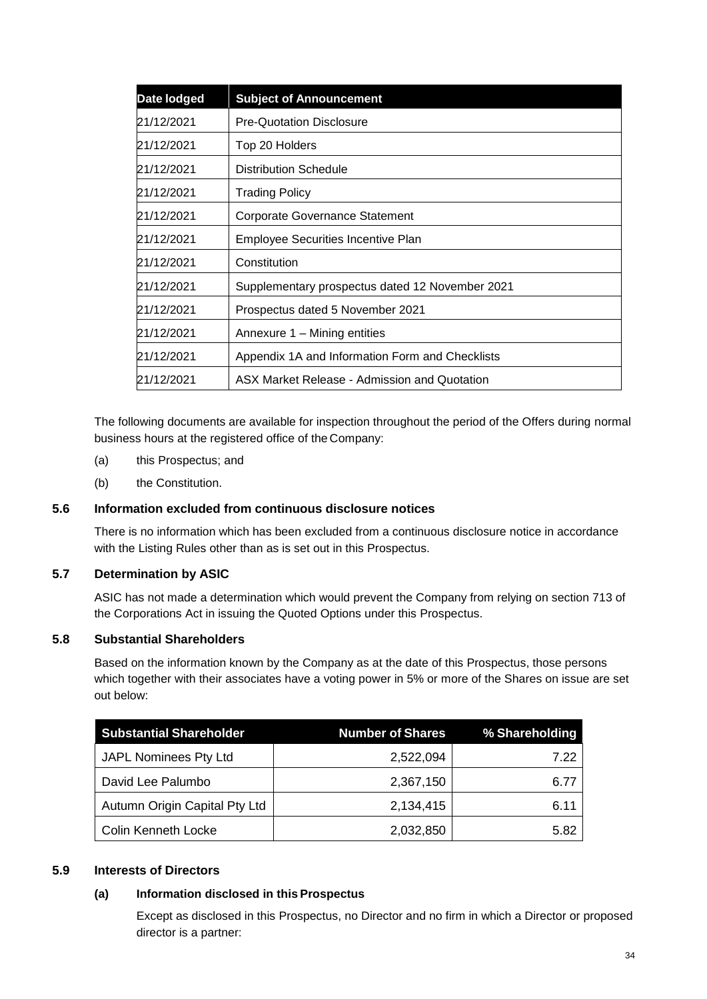| Date lodged | <b>Subject of Announcement</b>                  |  |
|-------------|-------------------------------------------------|--|
| 21/12/2021  | <b>Pre-Quotation Disclosure</b>                 |  |
| 21/12/2021  | Top 20 Holders                                  |  |
| 21/12/2021  | <b>Distribution Schedule</b>                    |  |
| 21/12/2021  | Trading Policy                                  |  |
| 21/12/2021  | <b>Corporate Governance Statement</b>           |  |
| 21/12/2021  | <b>Employee Securities Incentive Plan</b>       |  |
| 21/12/2021  | Constitution                                    |  |
| 21/12/2021  | Supplementary prospectus dated 12 November 2021 |  |
| 21/12/2021  | Prospectus dated 5 November 2021                |  |
| 21/12/2021  | Annexure 1 – Mining entities                    |  |
| 21/12/2021  | Appendix 1A and Information Form and Checklists |  |
| 21/12/2021  | ASX Market Release - Admission and Quotation    |  |

The following documents are available for inspection throughout the period of the Offers during normal business hours at the registered office of the Company:

- (a) this Prospectus; and
- (b) the Constitution.

### <span id="page-33-0"></span>**5.6 Information excluded from continuous disclosure notices**

There is no information which has been excluded from a continuous disclosure notice in accordance with the Listing Rules other than as is set out in this Prospectus.

### <span id="page-33-1"></span>**5.7 Determination by ASIC**

ASIC has not made a determination which would prevent the Company from relying on section 713 of the Corporations Act in issuing the Quoted Options under this Prospectus.

#### <span id="page-33-2"></span>**5.8 Substantial Shareholders**

Based on the information known by the Company as at the date of this Prospectus, those persons which together with their associates have a voting power in 5% or more of the Shares on issue are set out below:

| <b>Substantial Shareholder</b> | <b>Number of Shares</b> | % Shareholding |
|--------------------------------|-------------------------|----------------|
| JAPL Nominees Pty Ltd          | 2,522,094               | 7.22           |
| David Lee Palumbo              | 2,367,150               | 6.77           |
| Autumn Origin Capital Pty Ltd  | 2,134,415               | 6.11           |
| Colin Kenneth Locke            | 2,032,850               | 5.82           |

#### <span id="page-33-3"></span>**5.9 Interests of Directors**

#### **(a) Information disclosed in this Prospectus**

Except as disclosed in this Prospectus, no Director and no firm in which a Director or proposed director is a partner: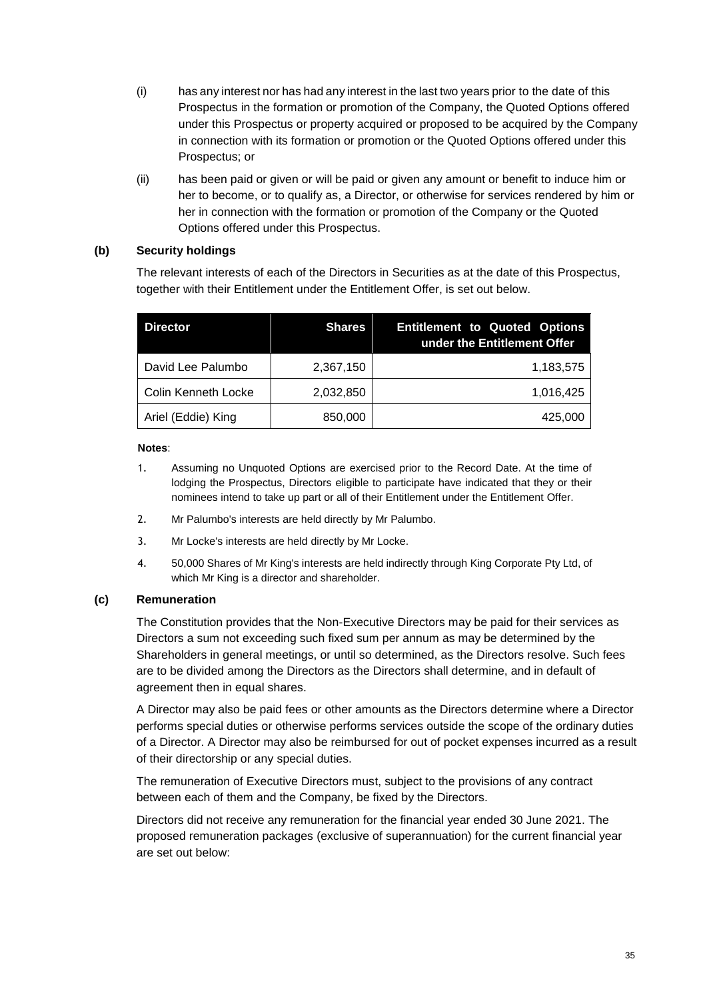- (i) has any interest nor has had any interest in the last two years prior to the date of this Prospectus in the formation or promotion of the Company, the Quoted Options offered under this Prospectus or property acquired or proposed to be acquired by the Company in connection with its formation or promotion or the Quoted Options offered under this Prospectus; or
- (ii) has been paid or given or will be paid or given any amount or benefit to induce him or her to become, or to qualify as, a Director, or otherwise for services rendered by him or her in connection with the formation or promotion of the Company or the Quoted Options offered under this Prospectus.

### <span id="page-34-0"></span>**(b) Security holdings**

The relevant interests of each of the Directors in Securities as at the date of this Prospectus, together with their Entitlement under the Entitlement Offer, is set out below.

| <b>Director</b>     | <b>Shares</b> | <b>Entitlement to Quoted Options</b><br>under the Entitlement Offer |
|---------------------|---------------|---------------------------------------------------------------------|
| David Lee Palumbo   | 2,367,150     | 1,183,575                                                           |
| Colin Kenneth Locke | 2,032,850     | 1,016,425                                                           |
| Ariel (Eddie) King  | 850,000       | 425,000                                                             |

#### **Notes**:

- 1. Assuming no Unquoted Options are exercised prior to the Record Date. At the time of lodging the Prospectus, Directors eligible to participate have indicated that they or their nominees intend to take up part or all of their Entitlement under the Entitlement Offer.
- 2. Mr Palumbo's interests are held directly by Mr Palumbo.
- 3. Mr Locke's interests are held directly by Mr Locke.
- 4. 50,000 Shares of Mr King's interests are held indirectly through King Corporate Pty Ltd, of which Mr King is a director and shareholder.

### **(c) Remuneration**

The Constitution provides that the Non-Executive Directors may be paid for their services as Directors a sum not exceeding such fixed sum per annum as may be determined by the Shareholders in general meetings, or until so determined, as the Directors resolve. Such fees are to be divided among the Directors as the Directors shall determine, and in default of agreement then in equal shares.

A Director may also be paid fees or other amounts as the Directors determine where a Director performs special duties or otherwise performs services outside the scope of the ordinary duties of a Director. A Director may also be reimbursed for out of pocket expenses incurred as a result of their directorship or any special duties.

The remuneration of Executive Directors must, subject to the provisions of any contract between each of them and the Company, be fixed by the Directors.

Directors did not receive any remuneration for the financial year ended 30 June 2021. The proposed remuneration packages (exclusive of superannuation) for the current financial year are set out below: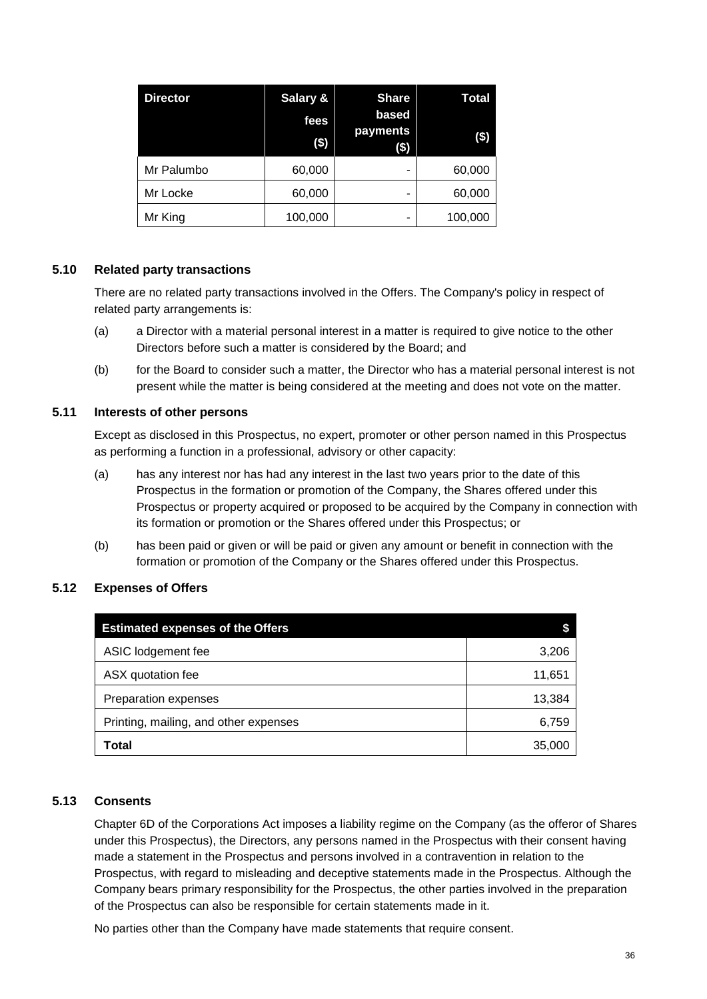| <b>Director</b> | Salary &<br>fees<br>$($)$ | <b>Share</b><br>based<br>payments<br>\$) | Total<br>$(\$)$ |
|-----------------|---------------------------|------------------------------------------|-----------------|
| Mr Palumbo      | 60,000                    | ۰                                        | 60,000          |
| Mr Locke        | 60,000                    | ۰                                        | 60,000          |
| Mr King         | 100,000                   | ۰                                        | 100,000         |

### <span id="page-35-0"></span>**5.10 Related party transactions**

There are no related party transactions involved in the Offers. The Company's policy in respect of related party arrangements is:

- (a) a Director with a material personal interest in a matter is required to give notice to the other Directors before such a matter is considered by the Board; and
- (b) for the Board to consider such a matter, the Director who has a material personal interest is not present while the matter is being considered at the meeting and does not vote on the matter.

### <span id="page-35-1"></span>**5.11 Interests of other persons**

Except as disclosed in this Prospectus, no expert, promoter or other person named in this Prospectus as performing a function in a professional, advisory or other capacity:

- (a) has any interest nor has had any interest in the last two years prior to the date of this Prospectus in the formation or promotion of the Company, the Shares offered under this Prospectus or property acquired or proposed to be acquired by the Company in connection with its formation or promotion or the Shares offered under this Prospectus; or
- (b) has been paid or given or will be paid or given any amount or benefit in connection with the formation or promotion of the Company or the Shares offered under this Prospectus.

## <span id="page-35-2"></span>**5.12 Expenses of Offers**

| <b>Estimated expenses of the Offers</b> |        |
|-----------------------------------------|--------|
| ASIC lodgement fee                      | 3,206  |
| ASX quotation fee                       | 11,651 |
| Preparation expenses                    | 13,384 |
| Printing, mailing, and other expenses   | 6,759  |
| <b>Total</b>                            | 35,000 |

## <span id="page-35-3"></span>**5.13 Consents**

Chapter 6D of the Corporations Act imposes a liability regime on the Company (as the offeror of Shares under this Prospectus), the Directors, any persons named in the Prospectus with their consent having made a statement in the Prospectus and persons involved in a contravention in relation to the Prospectus, with regard to misleading and deceptive statements made in the Prospectus. Although the Company bears primary responsibility for the Prospectus, the other parties involved in the preparation of the Prospectus can also be responsible for certain statements made in it.

No parties other than the Company have made statements that require consent.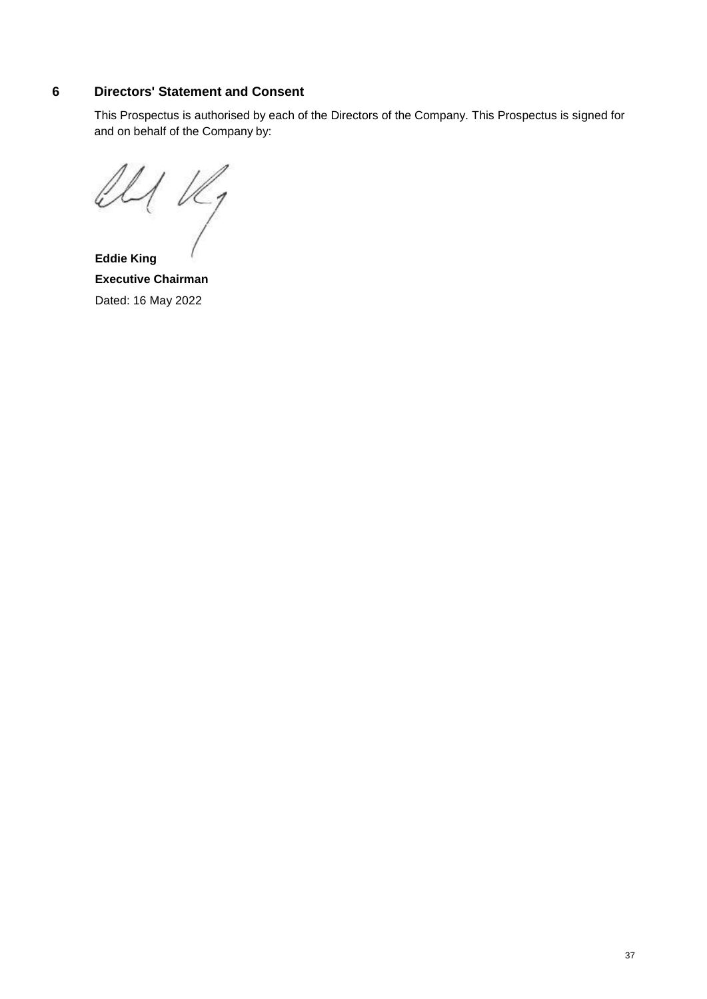## <span id="page-36-0"></span>**6 Directors' Statement and Consent**

This Prospectus is authorised by each of the Directors of the Company. This Prospectus is signed for and on behalf of the Company by:

 $\mathcal{U}/\mathcal{U}_1$ 

**Eddie King Executive Chairman** Dated: 16 May 2022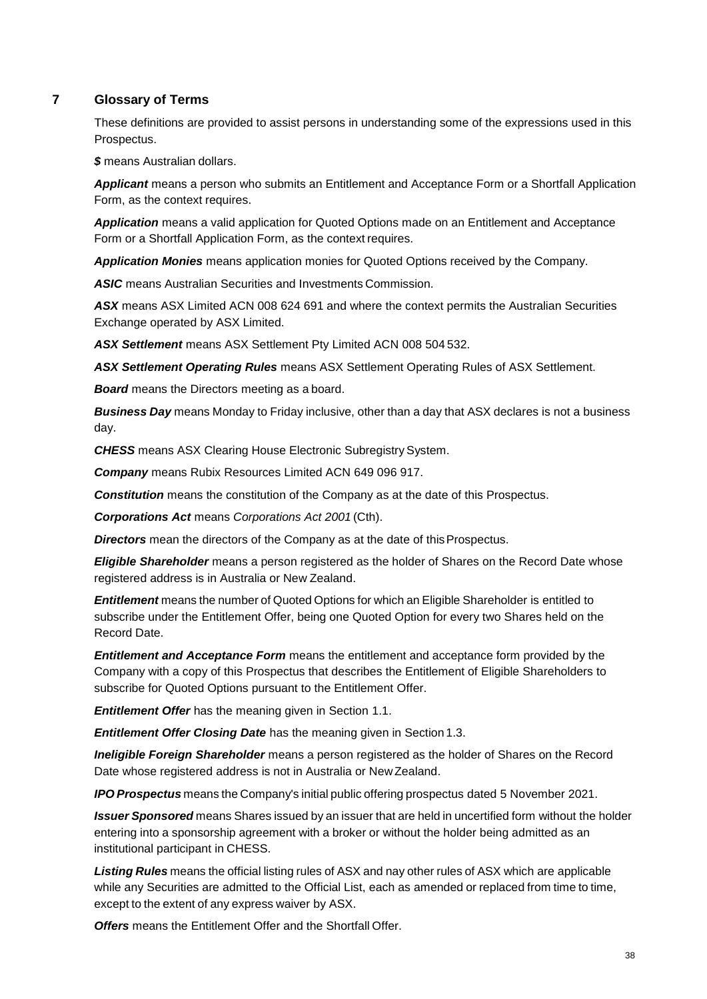## <span id="page-37-0"></span>**7 Glossary of Terms**

These definitions are provided to assist persons in understanding some of the expressions used in this Prospectus.

*\$* means Australian dollars.

*Applicant* means a person who submits an Entitlement and Acceptance Form or a Shortfall Application Form, as the context requires.

*Application* means a valid application for Quoted Options made on an Entitlement and Acceptance Form or a Shortfall Application Form, as the context requires.

*Application Monies* means application monies for Quoted Options received by the Company.

*ASIC* means Australian Securities and Investments Commission.

*ASX* means ASX Limited ACN 008 624 691 and where the context permits the Australian Securities Exchange operated by ASX Limited.

*ASX Settlement* means ASX Settlement Pty Limited ACN 008 504 532.

*ASX Settlement Operating Rules* means ASX Settlement Operating Rules of ASX Settlement.

*Board* means the Directors meeting as a board.

*Business Day* means Monday to Friday inclusive, other than a day that ASX declares is not a business day.

**CHESS** means ASX Clearing House Electronic Subregistry System.

*Company* means Rubix Resources Limited ACN 649 096 917.

*Constitution* means the constitution of the Company as at the date of this Prospectus.

*Corporations Act* means *Corporations Act 2001* (Cth).

**Directors** mean the directors of the Company as at the date of this Prospectus.

*Eligible Shareholder* means a person registered as the holder of Shares on the Record Date whose registered address is in Australia or New Zealand.

*Entitlement* means the number of Quoted Options for which an Eligible Shareholder is entitled to subscribe under the Entitlement Offer, being one Quoted Option for every two Shares held on the Record Date.

*Entitlement and Acceptance Form* means the entitlement and acceptance form provided by the Company with a copy of this Prospectus that describes the Entitlement of Eligible Shareholders to subscribe for Quoted Options pursuant to the Entitlement Offer.

*Entitlement Offer* has the meaning given in Section [1.1.](#page-11-0)

*Entitlement Offer Closing Date* has the meaning given in Section 1.3.

*Ineligible Foreign Shareholder* means a person registered as the holder of Shares on the Record Date whose registered address is not in Australia or NewZealand.

*IPO Prospectus* means the Company's initial public offering prospectus dated 5 November 2021.

*Issuer Sponsored* means Shares issued by an issuer that are held in uncertified form without the holder entering into a sponsorship agreement with a broker or without the holder being admitted as an institutional participant in CHESS.

*Listing Rules* means the official listing rules of ASX and nay other rules of ASX which are applicable while any Securities are admitted to the Official List, each as amended or replaced from time to time, except to the extent of any express waiver by ASX.

*Offers* means the Entitlement Offer and the Shortfall Offer.